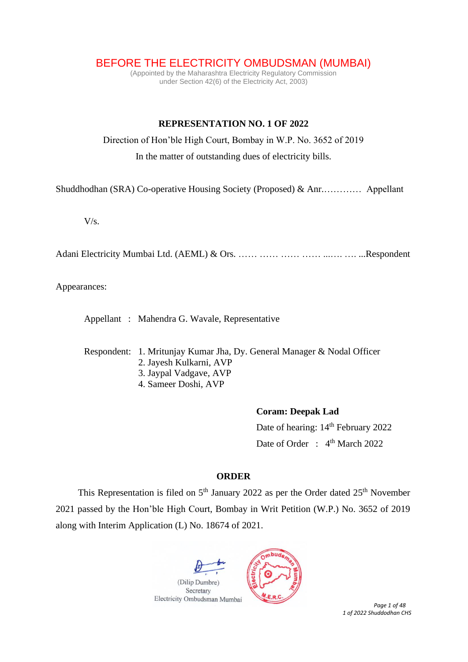BEFORE THE ELECTRICITY OMBUDSMAN (MUMBAI)

(Appointed by the Maharashtra Electricity Regulatory Commission under Section 42(6) of the Electricity Act, 2003)

## **REPRESENTATION NO. 1 OF 2022**

Direction of Hon'ble High Court, Bombay in W.P. No. 3652 of 2019

In the matter of outstanding dues of electricity bills.

Shuddhodhan (SRA) Co-operative Housing Society (Proposed) & Anr.………… Appellant

 $V/s$ .

Adani Electricity Mumbai Ltd. (AEML) & Ors. …… …… …… …… ...…. …. ...Respondent

Appearances:

Appellant : Mahendra G. Wavale, Representative

Respondent: 1. Mritunjay Kumar Jha, Dy. General Manager & Nodal Officer

- 2. Jayesh Kulkarni, AVP
- 3. Jaypal Vadgave, AVP
- 4. Sameer Doshi, AVP

## **Coram: Deepak Lad**

Date of hearing:  $14<sup>th</sup>$  February 2022 Date of Order : 4<sup>th</sup> March 2022

## **ORDER**

This Representation is filed on  $5<sup>th</sup>$  January 2022 as per the Order dated  $25<sup>th</sup>$  November 2021 passed by the Hon'ble High Court, Bombay in Writ Petition (W.P.) No. 3652 of 2019 along with Interim Application (L) No. 18674 of 2021.





 *Page 1 of 48 1 of 2022 Shuddodhan CHS*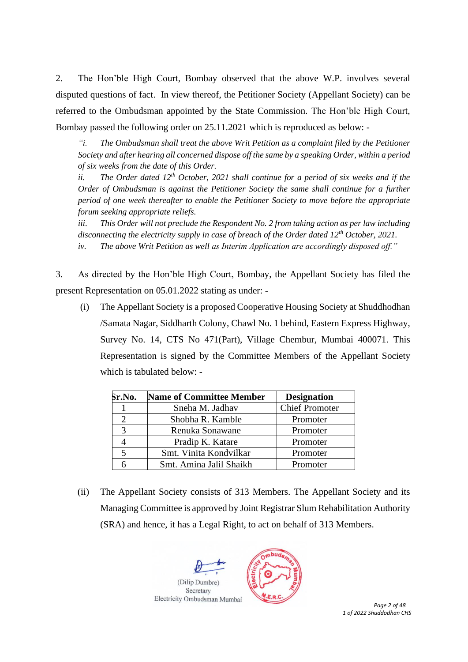2. The Hon'ble High Court, Bombay observed that the above W.P. involves several disputed questions of fact. In view thereof, the Petitioner Society (Appellant Society) can be referred to the Ombudsman appointed by the State Commission. The Hon'ble High Court, Bombay passed the following order on 25.11.2021 which is reproduced as below: -

*"i. The Ombudsman shall treat the above Writ Petition as a complaint filed by the Petitioner Society and after hearing all concerned dispose off the same by a speaking Order, within a period of six weeks from the date of this Order.* 

*ii. The Order dated 12th October, 2021 shall continue for a period of six weeks and if the Order of Ombudsman is against the Petitioner Society the same shall continue for a further period of one week thereafter to enable the Petitioner Society to move before the appropriate forum seeking appropriate reliefs.* 

*iii. This Order will not preclude the Respondent No. 2 from taking action as per law including disconnecting the electricity supply in case of breach of the Order dated 12th October, 2021. iv. The above Writ Petition as well as Interim Application are accordingly disposed off."*

3. As directed by the Hon'ble High Court, Bombay, the Appellant Society has filed the present Representation on 05.01.2022 stating as under: -

(i) The Appellant Society is a proposed Cooperative Housing Society at Shuddhodhan /Samata Nagar, Siddharth Colony, Chawl No. 1 behind, Eastern Express Highway, Survey No. 14, CTS No 471(Part), Village Chembur, Mumbai 400071. This Representation is signed by the Committee Members of the Appellant Society which is tabulated below: -

| Sr.No. | <b>Name of Committee Member</b> | <b>Designation</b>    |  |  |
|--------|---------------------------------|-----------------------|--|--|
|        | Sneha M. Jadhav                 | <b>Chief Promoter</b> |  |  |
| っ      | Shobha R. Kamble                | Promoter              |  |  |
| 3      | Renuka Sonawane                 | Promoter              |  |  |
|        | Pradip K. Katare                | Promoter              |  |  |
| 5      | Smt. Vinita Kondvilkar          | Promoter              |  |  |
|        | Smt. Amina Jalil Shaikh         | Promoter              |  |  |

(ii) The Appellant Society consists of 313 Members. The Appellant Society and its Managing Committee is approved by Joint Registrar Slum Rehabilitation Authority (SRA) and hence, it has a Legal Right, to act on behalf of 313 Members.





 *Page 2 of 48 1 of 2022 Shuddodhan CHS*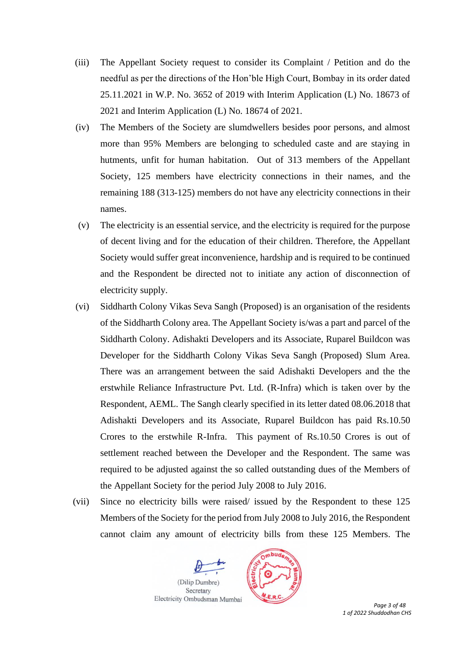- (iii) The Appellant Society request to consider its Complaint / Petition and do the needful as per the directions of the Hon'ble High Court, Bombay in its order dated 25.11.2021 in W.P. No. 3652 of 2019 with Interim Application (L) No. 18673 of 2021 and Interim Application (L) No. 18674 of 2021.
- (iv) The Members of the Society are slumdwellers besides poor persons, and almost more than 95% Members are belonging to scheduled caste and are staying in hutments, unfit for human habitation. Out of 313 members of the Appellant Society, 125 members have electricity connections in their names, and the remaining 188 (313-125) members do not have any electricity connections in their names.
- (v) The electricity is an essential service, and the electricity is required for the purpose of decent living and for the education of their children. Therefore, the Appellant Society would suffer great inconvenience, hardship and is required to be continued and the Respondent be directed not to initiate any action of disconnection of electricity supply.
- (vi) Siddharth Colony Vikas Seva Sangh (Proposed) is an organisation of the residents of the Siddharth Colony area. The Appellant Society is/was a part and parcel of the Siddharth Colony. Adishakti Developers and its Associate, Ruparel Buildcon was Developer for the Siddharth Colony Vikas Seva Sangh (Proposed) Slum Area. There was an arrangement between the said Adishakti Developers and the the erstwhile Reliance Infrastructure Pvt. Ltd. (R-Infra) which is taken over by the Respondent, AEML. The Sangh clearly specified in its letter dated 08.06.2018 that Adishakti Developers and its Associate, Ruparel Buildcon has paid Rs.10.50 Crores to the erstwhile R-Infra. This payment of Rs.10.50 Crores is out of settlement reached between the Developer and the Respondent. The same was required to be adjusted against the so called outstanding dues of the Members of the Appellant Society for the period July 2008 to July 2016.
- (vii) Since no electricity bills were raised/ issued by the Respondent to these 125 Members of the Society for the period from July 2008 to July 2016, the Respondent cannot claim any amount of electricity bills from these 125 Members. The





 *Page 3 of 48 1 of 2022 Shuddodhan CHS*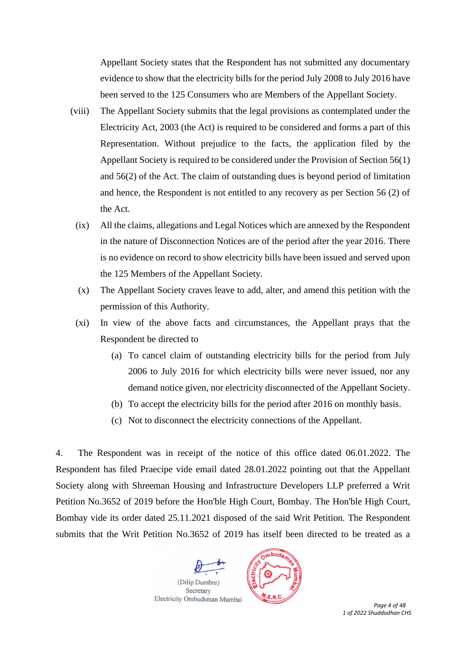Appellant Society states that the Respondent has not submitted any documentary evidence to show that the electricity bills for the period July 2008 to July 2016 have been served to the 125 Consumers who are Members of the Appellant Society.

- (viii) The Appellant Society submits that the legal provisions as contemplated under the Electricity Act, 2003 (the Act) is required to be considered and forms a part of this Representation. Without prejudice to the facts, the application filed by the Appellant Society is required to be considered under the Provision of Section 56(1) and 56(2) of the Act. The claim of outstanding dues is beyond period of limitation and hence, the Respondent is not entitled to any recovery as per Section 56 (2) of the Act.
	- (ix) All the claims, allegations and Legal Notices which are annexed by the Respondent in the nature of Disconnection Notices are of the period after the year 2016. There is no evidence on record to show electricity bills have been issued and served upon the 125 Members of the Appellant Society.
	- (x) The Appellant Society craves leave to add, alter, and amend this petition with the permission of this Authority.
	- (xi) In view of the above facts and circumstances, the Appellant prays that the Respondent be directed to
		- (a) To cancel claim of outstanding electricity bills for the period from July 2006 to July 2016 for which electricity bills were never issued, nor any demand notice given, nor electricity disconnected of the Appellant Society.
		- (b) To accept the electricity bills for the period after 2016 on monthly basis.
		- (c) Not to disconnect the electricity connections of the Appellant.

4. The Respondent was in receipt of the notice of this office dated 06.01.2022. The Respondent has filed Praecipe vide email dated 28.01.2022 pointing out that the Appellant Society along with Shreeman Housing and Infrastructure Developers LLP preferred a Writ Petition No.3652 of 2019 before the Hon'ble High Court, Bombay. The Hon'ble High Court, Bombay vide its order dated 25.11.2021 disposed of the said Writ Petition. The Respondent submits that the Writ Petition No.3652 of 2019 has itself been directed to be treated as a





 *Page 4 of 48 1 of 2022 Shuddodhan CHS*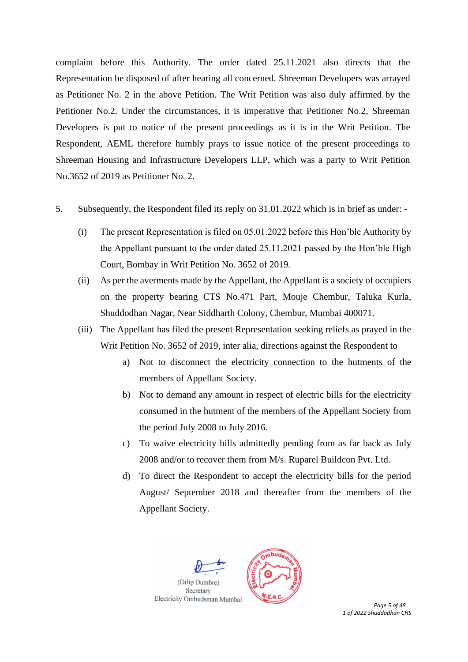complaint before this Authority. The order dated 25.11.2021 also directs that the Representation be disposed of after hearing all concerned. Shreeman Developers was arrayed as Petitioner No. 2 in the above Petition. The Writ Petition was also duly affirmed by the Petitioner No.2. Under the circumstances, it is imperative that Petitioner No.2, Shreeman Developers is put to notice of the present proceedings as it is in the Writ Petition. The Respondent, AEML therefore humbly prays to issue notice of the present proceedings to Shreeman Housing and Infrastructure Developers LLP, which was a party to Writ Petition No.3652 of 2019 as Petitioner No. 2.

- 5. Subsequently, the Respondent filed its reply on 31.01.2022 which is in brief as under:
	- (i) The present Representation is filed on 05.01.2022 before this Hon'ble Authority by the Appellant pursuant to the order dated 25.11.2021 passed by the Hon'ble High Court, Bombay in Writ Petition No. 3652 of 2019*.*
	- (ii) As per the averments made by the Appellant, the Appellant is a society of occupiers on the property bearing CTS No.471 Part, Mouje Chembur, Taluka Kurla, Shuddodhan Nagar, Near Siddharth Colony, Chembur, Mumbai 400071.
	- (iii) The Appellant has filed the present Representation seeking reliefs as prayed in the Writ Petition No. 3652 of 2019, inter alia, directions against the Respondent to
		- a) Not to disconnect the electricity connection to the hutments of the members of Appellant Society.
		- b) Not to demand any amount in respect of electric bills for the electricity consumed in the hutment of the members of the Appellant Society from the period July 2008 to July 2016.
		- c) To waive electricity bills admittedly pending from as far back as July 2008 and/or to recover them from M/s. Ruparel Buildcon Pvt. Ltd.
		- d) To direct the Respondent to accept the electricity bills for the period August/ September 2018 and thereafter from the members of the Appellant Society.





 *Page 5 of 48 1 of 2022 Shuddodhan CHS*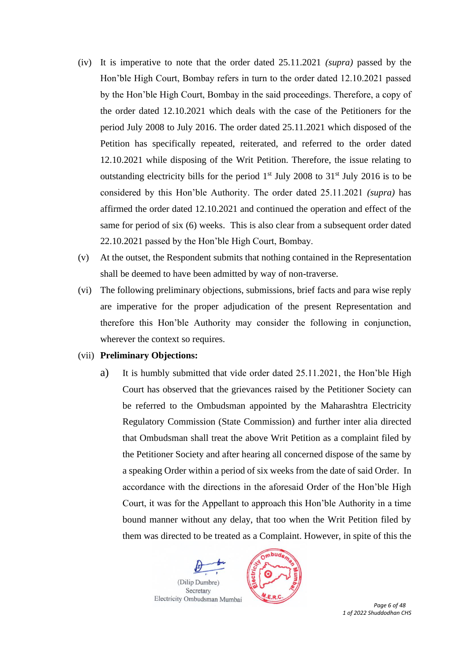- (iv) It is imperative to note that the order dated 25.11.2021 *(supra)* passed by the Hon'ble High Court, Bombay refers in turn to the order dated 12.10.2021 passed by the Hon'ble High Court, Bombay in the said proceedings. Therefore, a copy of the order dated 12.10.2021 which deals with the case of the Petitioners for the period July 2008 to July 2016. The order dated 25.11.2021 which disposed of the Petition has specifically repeated, reiterated, and referred to the order dated 12.10.2021 while disposing of the Writ Petition. Therefore, the issue relating to outstanding electricity bills for the period  $1<sup>st</sup>$  July 2008 to 31 $<sup>st</sup>$  July 2016 is to be</sup> considered by this Hon'ble Authority. The order dated 25.11.2021 *(supra)* has affirmed the order dated 12.10.2021 and continued the operation and effect of the same for period of six (6) weeks. This is also clear from a subsequent order dated 22.10.2021 passed by the Hon'ble High Court, Bombay.
- (v) At the outset, the Respondent submits that nothing contained in the Representation shall be deemed to have been admitted by way of non-traverse.
- (vi) The following preliminary objections, submissions, brief facts and para wise reply are imperative for the proper adjudication of the present Representation and therefore this Hon'ble Authority may consider the following in conjunction, wherever the context so requires.

#### (vii) **Preliminary Objections:**

a) It is humbly submitted that vide order dated 25.11.2021, the Hon'ble High Court has observed that the grievances raised by the Petitioner Society can be referred to the Ombudsman appointed by the Maharashtra Electricity Regulatory Commission (State Commission) and further inter alia directed that Ombudsman shall treat the above Writ Petition as a complaint filed by the Petitioner Society and after hearing all concerned dispose of the same by a speaking Order within a period of six weeks from the date of said Order. In accordance with the directions in the aforesaid Order of the Hon'ble High Court, it was for the Appellant to approach this Hon'ble Authority in a time bound manner without any delay, that too when the Writ Petition filed by them was directed to be treated as a Complaint. However, in spite of this the





 *Page 6 of 48 1 of 2022 Shuddodhan CHS*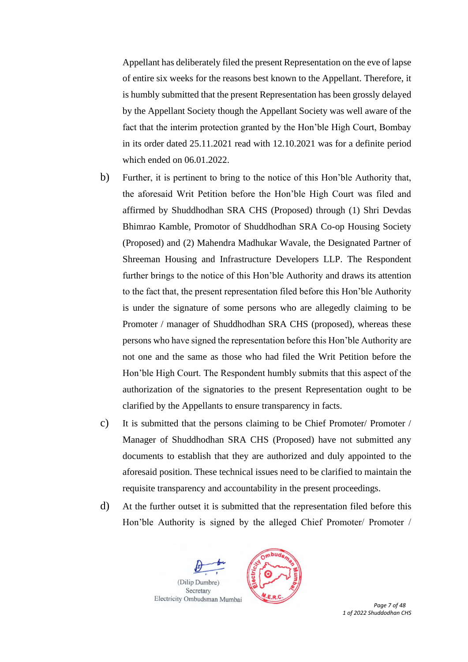Appellant has deliberately filed the present Representation on the eve of lapse of entire six weeks for the reasons best known to the Appellant. Therefore, it is humbly submitted that the present Representation has been grossly delayed by the Appellant Society though the Appellant Society was well aware of the fact that the interim protection granted by the Hon'ble High Court, Bombay in its order dated 25.11.2021 read with 12.10.2021 was for a definite period which ended on 06.01.2022.

- b) Further, it is pertinent to bring to the notice of this Hon'ble Authority that, the aforesaid Writ Petition before the Hon'ble High Court was filed and affirmed by Shuddhodhan SRA CHS (Proposed) through (1) Shri Devdas Bhimrao Kamble, Promotor of Shuddhodhan SRA Co-op Housing Society (Proposed) and (2) Mahendra Madhukar Wavale, the Designated Partner of Shreeman Housing and Infrastructure Developers LLP. The Respondent further brings to the notice of this Hon'ble Authority and draws its attention to the fact that, the present representation filed before this Hon'ble Authority is under the signature of some persons who are allegedly claiming to be Promoter / manager of Shuddhodhan SRA CHS (proposed), whereas these persons who have signed the representation before this Hon'ble Authority are not one and the same as those who had filed the Writ Petition before the Hon'ble High Court. The Respondent humbly submits that this aspect of the authorization of the signatories to the present Representation ought to be clarified by the Appellants to ensure transparency in facts.
- c) It is submitted that the persons claiming to be Chief Promoter/ Promoter / Manager of Shuddhodhan SRA CHS (Proposed) have not submitted any documents to establish that they are authorized and duly appointed to the aforesaid position. These technical issues need to be clarified to maintain the requisite transparency and accountability in the present proceedings.
- d) At the further outset it is submitted that the representation filed before this Hon'ble Authority is signed by the alleged Chief Promoter/ Promoter /





 *Page 7 of 48 1 of 2022 Shuddodhan CHS*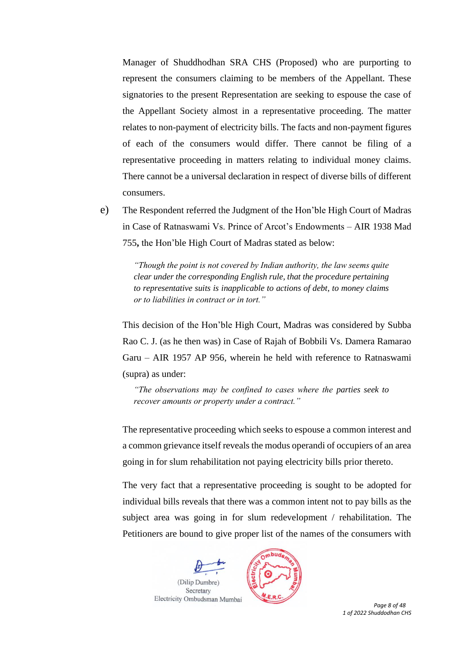Manager of Shuddhodhan SRA CHS (Proposed) who are purporting to represent the consumers claiming to be members of the Appellant. These signatories to the present Representation are seeking to espouse the case of the Appellant Society almost in a representative proceeding. The matter relates to non-payment of electricity bills. The facts and non-payment figures of each of the consumers would differ. There cannot be filing of a representative proceeding in matters relating to individual money claims. There cannot be a universal declaration in respect of diverse bills of different consumers.

e) The Respondent referred the Judgment of the Hon'ble High Court of Madras in Case of Ratnaswami Vs. Prince of Arcot's Endowments – AIR 1938 Mad 755**,** the Hon'ble High Court of Madras stated as below:

> *"Though the point is not covered by Indian authority, the law seems quite clear under the corresponding English rule, that the procedure pertaining to representative suits is inapplicable to actions of debt, to money claims or to liabilities in contract or in tort."*

This decision of the Hon'ble High Court, Madras was considered by Subba Rao C. J. (as he then was) in Case of Rajah of Bobbili Vs. Damera Ramarao Garu – AIR 1957 AP 956, wherein he held with reference to Ratnaswami (supra) as under:

*"The observations may be confined to cases where the parties seek to recover amounts or property under a contract."*

The representative proceeding which seeks to espouse a common interest and a common grievance itself reveals the modus operandi of occupiers of an area going in for slum rehabilitation not paying electricity bills prior thereto.

The very fact that a representative proceeding is sought to be adopted for individual bills reveals that there was a common intent not to pay bills as the subject area was going in for slum redevelopment / rehabilitation. The Petitioners are bound to give proper list of the names of the consumers with





 *Page 8 of 48 1 of 2022 Shuddodhan CHS*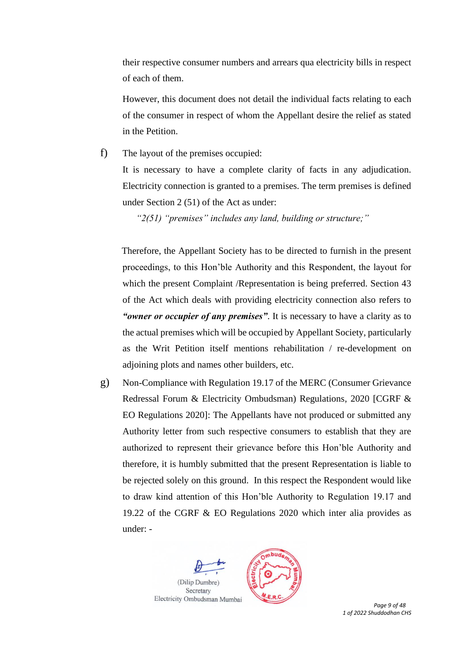their respective consumer numbers and arrears qua electricity bills in respect of each of them.

However, this document does not detail the individual facts relating to each of the consumer in respect of whom the Appellant desire the relief as stated in the Petition.

f) The layout of the premises occupied:

It is necessary to have a complete clarity of facts in any adjudication. Electricity connection is granted to a premises. The term premises is defined under Section 2 (51) of the Act as under:

*"2(51) "premises" includes any land, building or structure;"*

Therefore, the Appellant Society has to be directed to furnish in the present proceedings, to this Hon'ble Authority and this Respondent, the layout for which the present Complaint /Representation is being preferred. Section 43 of the Act which deals with providing electricity connection also refers to *"owner or occupier of any premises"*. It is necessary to have a clarity as to the actual premises which will be occupied by Appellant Society, particularly as the Writ Petition itself mentions rehabilitation / re-development on adjoining plots and names other builders, etc.

g) Non-Compliance with Regulation 19.17 of the MERC (Consumer Grievance Redressal Forum & Electricity Ombudsman) Regulations, 2020 [CGRF & EO Regulations 2020]: The Appellants have not produced or submitted any Authority letter from such respective consumers to establish that they are authorized to represent their grievance before this Hon'ble Authority and therefore, it is humbly submitted that the present Representation is liable to be rejected solely on this ground. In this respect the Respondent would like to draw kind attention of this Hon'ble Authority to Regulation 19.17 and 19.22 of the CGRF & EO Regulations 2020 which inter alia provides as under: -





 *Page 9 of 48 1 of 2022 Shuddodhan CHS*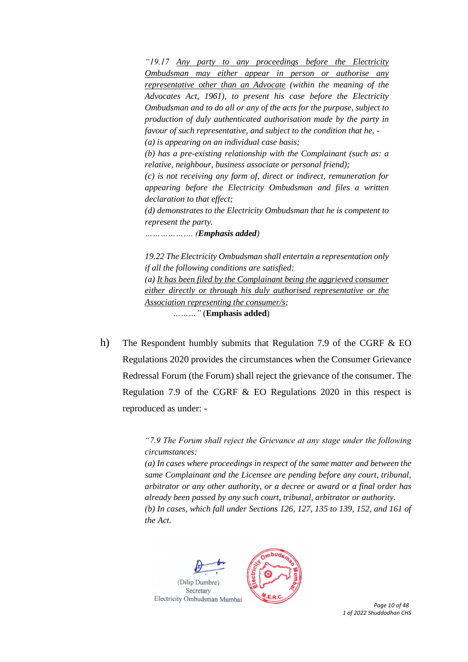*"19.17 Any party to any proceedings before the Electricity Ombudsman may either appear in person or authorise any representative other than an Advocate (within the meaning of the Advocates Act, 1961), to present his case before the Electricity Ombudsman and to do all or any of the acts for the purpose, subject to production of duly authenticated authorisation made by the party in favour of such representative, and subject to the condition that he, - (a) is appearing on an individual case basis; (b) has a pre-existing relationship with the Complainant (such as: a relative, neighbour, business associate or personal friend); (c) is not receiving any form of, direct or indirect, remuneration for appearing before the Electricity Ombudsman and files a written declaration to that effect; (d) demonstrates to the Electricity Ombudsman that he is competent to represent the party. ………………. (Emphasis added)* 

*19.22 The Electricity Ombudsman shall entertain a representation only if all the following conditions are satisfied: (a) It has been filed by the Complainant being the aggrieved consumer either directly or through his duly authorised representative or the Association representing the consumer/s; ………"* (**Emphasis added**)

h) The Respondent humbly submits that Regulation 7.9 of the CGRF & EO Regulations 2020 provides the circumstances when the Consumer Grievance Redressal Forum (the Forum) shall reject the grievance of the consumer. The Regulation 7.9 of the CGRF & EO Regulations 2020 in this respect is reproduced as under: -

> *"7.9 The Forum shall reject the Grievance at any stage under the following circumstances:*

> *(a) In cases where proceedings in respect of the same matter and between the same Complainant and the Licensee are pending before any court, tribunal, arbitrator or any other authority, or a decree or award or a final order has already been passed by any such court, tribunal, arbitrator or authority. (b) In cases, which fall under Sections 126, 127, 135 to 139, 152, and 161 of the Act.*





 *Page 10 of 48 1 of 2022 Shuddodhan CHS*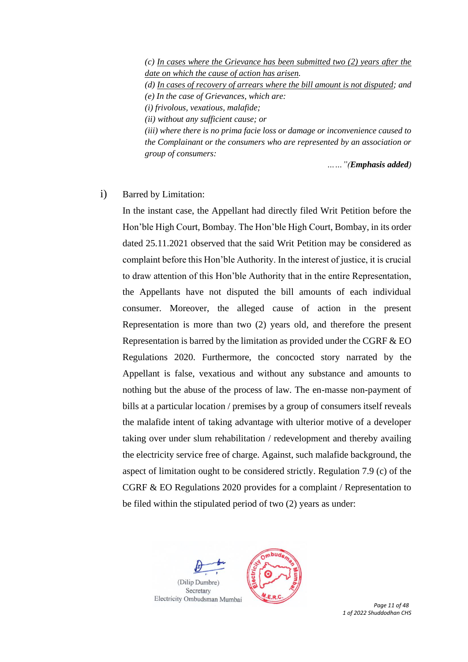*(c) In cases where the Grievance has been submitted two (2) years after the date on which the cause of action has arisen.* 

*(d) In cases of recovery of arrears where the bill amount is not disputed; and (e) In the case of Grievances, which are:*

*(i) frivolous, vexatious, malafide;*

*(ii) without any sufficient cause; or*

*(iii) where there is no prima facie loss or damage or inconvenience caused to the Complainant or the consumers who are represented by an association or group of consumers:*

*……"(Emphasis added)*

### i) Barred by Limitation:

In the instant case, the Appellant had directly filed Writ Petition before the Hon'ble High Court, Bombay. The Hon'ble High Court, Bombay, in its order dated 25.11.2021 observed that the said Writ Petition may be considered as complaint before this Hon'ble Authority. In the interest of justice, it is crucial to draw attention of this Hon'ble Authority that in the entire Representation, the Appellants have not disputed the bill amounts of each individual consumer. Moreover, the alleged cause of action in the present Representation is more than two (2) years old, and therefore the present Representation is barred by the limitation as provided under the CGRF & EO Regulations 2020. Furthermore, the concocted story narrated by the Appellant is false, vexatious and without any substance and amounts to nothing but the abuse of the process of law. The en-masse non-payment of bills at a particular location / premises by a group of consumers itself reveals the malafide intent of taking advantage with ulterior motive of a developer taking over under slum rehabilitation / redevelopment and thereby availing the electricity service free of charge. Against, such malafide background, the aspect of limitation ought to be considered strictly. Regulation 7.9 (c) of the CGRF & EO Regulations 2020 provides for a complaint / Representation to be filed within the stipulated period of two (2) years as under:





 *Page 11 of 48 1 of 2022 Shuddodhan CHS*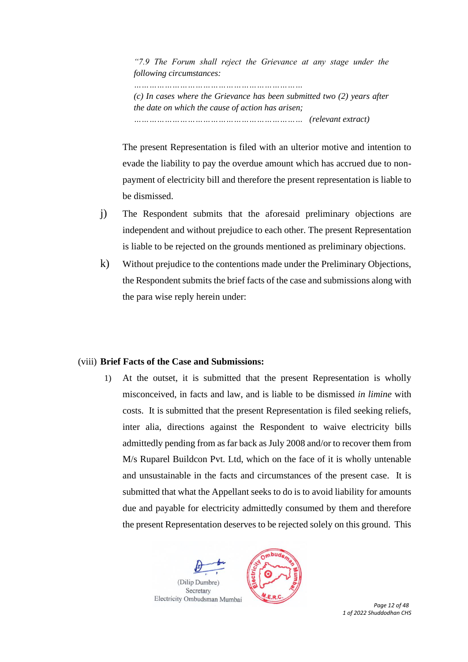*"7.9 The Forum shall reject the Grievance at any stage under the following circumstances:*

*…………………………………………………………*

*(c) In cases where the Grievance has been submitted two (2) years after the date on which the cause of action has arisen; ………………………………………………………… (relevant extract)*

The present Representation is filed with an ulterior motive and intention to evade the liability to pay the overdue amount which has accrued due to nonpayment of electricity bill and therefore the present representation is liable to be dismissed.

- j) The Respondent submits that the aforesaid preliminary objections are independent and without prejudice to each other. The present Representation is liable to be rejected on the grounds mentioned as preliminary objections.
- k) Without prejudice to the contentions made under the Preliminary Objections, the Respondent submits the brief facts of the case and submissions along with the para wise reply herein under:

### (viii) **Brief Facts of the Case and Submissions:**

1) At the outset, it is submitted that the present Representation is wholly misconceived, in facts and law, and is liable to be dismissed *in limine* with costs. It is submitted that the present Representation is filed seeking reliefs, inter alia, directions against the Respondent to waive electricity bills admittedly pending from as far back as July 2008 and/or to recover them from M/s Ruparel Buildcon Pvt. Ltd, which on the face of it is wholly untenable and unsustainable in the facts and circumstances of the present case. It is submitted that what the Appellant seeks to do is to avoid liability for amounts due and payable for electricity admittedly consumed by them and therefore the present Representation deserves to be rejected solely on this ground. This





 *Page 12 of 48 1 of 2022 Shuddodhan CHS*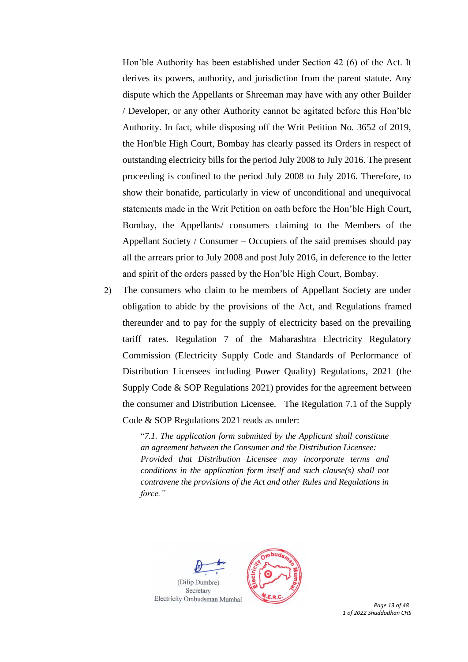Hon'ble Authority has been established under Section 42 (6) of the Act. It derives its powers, authority, and jurisdiction from the parent statute. Any dispute which the Appellants or Shreeman may have with any other Builder / Developer, or any other Authority cannot be agitated before this Hon'ble Authority. In fact, while disposing off the Writ Petition No. 3652 of 2019, the Hon'ble High Court, Bombay has clearly passed its Orders in respect of outstanding electricity bills for the period July 2008 to July 2016. The present proceeding is confined to the period July 2008 to July 2016. Therefore, to show their bonafide, particularly in view of unconditional and unequivocal statements made in the Writ Petition on oath before the Hon'ble High Court, Bombay, the Appellants/ consumers claiming to the Members of the Appellant Society / Consumer – Occupiers of the said premises should pay all the arrears prior to July 2008 and post July 2016, in deference to the letter and spirit of the orders passed by the Hon'ble High Court, Bombay.

2) The consumers who claim to be members of Appellant Society are under obligation to abide by the provisions of the Act, and Regulations framed thereunder and to pay for the supply of electricity based on the prevailing tariff rates. Regulation 7 of the Maharashtra Electricity Regulatory Commission (Electricity Supply Code and Standards of Performance of Distribution Licensees including Power Quality) Regulations, 2021 (the Supply Code & SOP Regulations 2021) provides for the agreement between the consumer and Distribution Licensee. The Regulation 7.1 of the Supply Code & SOP Regulations 2021 reads as under:

> "*7.1. The application form submitted by the Applicant shall constitute an agreement between the Consumer and the Distribution Licensee: Provided that Distribution Licensee may incorporate terms and conditions in the application form itself and such clause(s) shall not contravene the provisions of the Act and other Rules and Regulations in force."*



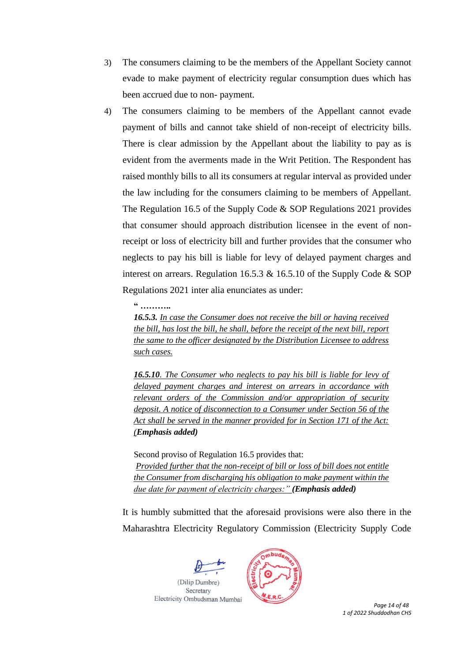- 3) The consumers claiming to be the members of the Appellant Society cannot evade to make payment of electricity regular consumption dues which has been accrued due to non- payment.
- 4) The consumers claiming to be members of the Appellant cannot evade payment of bills and cannot take shield of non-receipt of electricity bills. There is clear admission by the Appellant about the liability to pay as is evident from the averments made in the Writ Petition. The Respondent has raised monthly bills to all its consumers at regular interval as provided under the law including for the consumers claiming to be members of Appellant. The Regulation 16.5 of the Supply Code & SOP Regulations 2021 provides that consumer should approach distribution licensee in the event of nonreceipt or loss of electricity bill and further provides that the consumer who neglects to pay his bill is liable for levy of delayed payment charges and interest on arrears. Regulation 16.5.3  $\&$  16.5.10 of the Supply Code  $\&$  SOP Regulations 2021 inter alia enunciates as under:

**" ………..**

*16.5.3. In case the Consumer does not receive the bill or having received the bill, has lost the bill, he shall, before the receipt of the next bill, report the same to the officer designated by the Distribution Licensee to address such cases.*

*16.5.10. The Consumer who neglects to pay his bill is liable for levy of delayed payment charges and interest on arrears in accordance with relevant orders of the Commission and/or appropriation of security deposit. A notice of disconnection to a Consumer under Section 56 of the Act shall be served in the manner provided for in Section 171 of the Act: (Emphasis added)*

Second proviso of Regulation 16.5 provides that: *Provided further that the non-receipt of bill or loss of bill does not entitle the Consumer from discharging his obligation to make payment within the due date for payment of electricity charges:" (Emphasis added)*

It is humbly submitted that the aforesaid provisions were also there in the Maharashtra Electricity Regulatory Commission (Electricity Supply Code





 *Page 14 of 48 1 of 2022 Shuddodhan CHS*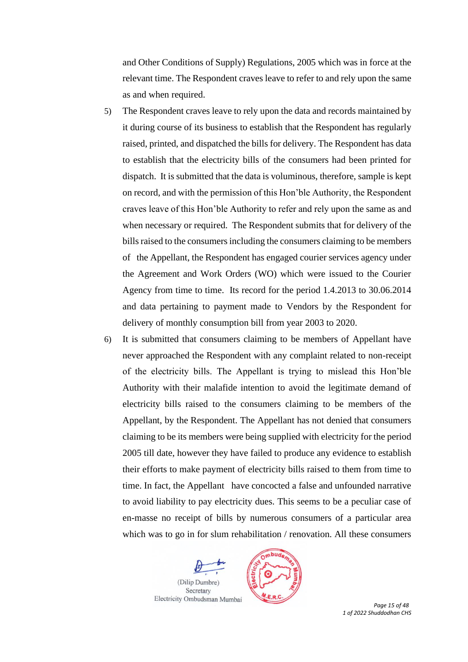and Other Conditions of Supply) Regulations, 2005 which was in force at the relevant time. The Respondent craves leave to refer to and rely upon the same as and when required.

- 5) The Respondent craves leave to rely upon the data and records maintained by it during course of its business to establish that the Respondent has regularly raised, printed, and dispatched the bills for delivery. The Respondent has data to establish that the electricity bills of the consumers had been printed for dispatch. It is submitted that the data is voluminous, therefore, sample is kept on record, and with the permission of this Hon'ble Authority, the Respondent craves leave of this Hon'ble Authority to refer and rely upon the same as and when necessary or required. The Respondent submits that for delivery of the bills raised to the consumers including the consumers claiming to be members of the Appellant, the Respondent has engaged courier services agency under the Agreement and Work Orders (WO) which were issued to the Courier Agency from time to time. Its record for the period 1.4.2013 to 30.06.2014 and data pertaining to payment made to Vendors by the Respondent for delivery of monthly consumption bill from year 2003 to 2020.
- 6) It is submitted that consumers claiming to be members of Appellant have never approached the Respondent with any complaint related to non-receipt of the electricity bills. The Appellant is trying to mislead this Hon'ble Authority with their malafide intention to avoid the legitimate demand of electricity bills raised to the consumers claiming to be members of the Appellant, by the Respondent. The Appellant has not denied that consumers claiming to be its members were being supplied with electricity for the period 2005 till date, however they have failed to produce any evidence to establish their efforts to make payment of electricity bills raised to them from time to time. In fact, the Appellant have concocted a false and unfounded narrative to avoid liability to pay electricity dues. This seems to be a peculiar case of en-masse no receipt of bills by numerous consumers of a particular area which was to go in for slum rehabilitation / renovation. All these consumers





 *Page 15 of 48 1 of 2022 Shuddodhan CHS*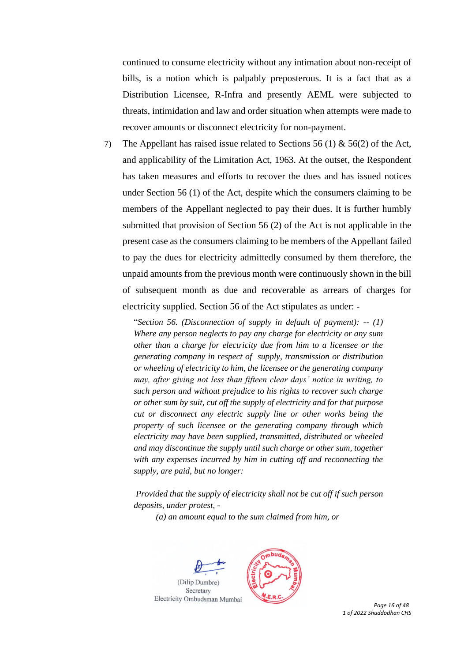continued to consume electricity without any intimation about non-receipt of bills, is a notion which is palpably preposterous. It is a fact that as a Distribution Licensee, R-Infra and presently AEML were subjected to threats, intimidation and law and order situation when attempts were made to recover amounts or disconnect electricity for non-payment.

7) The Appellant has raised issue related to Sections 56 (1) & 56(2) of the Act, and applicability of the Limitation Act, 1963. At the outset, the Respondent has taken measures and efforts to recover the dues and has issued notices under Section 56 (1) of the Act, despite which the consumers claiming to be members of the Appellant neglected to pay their dues. It is further humbly submitted that provision of Section 56 (2) of the Act is not applicable in the present case as the consumers claiming to be members of the Appellant failed to pay the dues for electricity admittedly consumed by them therefore, the unpaid amounts from the previous month were continuously shown in the bill of subsequent month as due and recoverable as arrears of charges for electricity supplied. Section 56 of the Act stipulates as under: -

"*Section 56. (Disconnection of supply in default of payment): -- (1) Where any person neglects to pay any charge for electricity or any sum other than a charge for electricity due from him to a licensee or the generating company in respect of supply, transmission or distribution or wheeling of electricity to him, the licensee or the generating company may, after giving not less than fifteen clear days' notice in writing, to such person and without prejudice to his rights to recover such charge or other sum by suit, cut off the supply of electricity and for that purpose cut or disconnect any electric supply line or other works being the property of such licensee or the generating company through which electricity may have been supplied, transmitted, distributed or wheeled and may discontinue the supply until such charge or other sum, together with any expenses incurred by him in cutting off and reconnecting the supply, are paid, but no longer:* 

*Provided that the supply of electricity shall not be cut off if such person deposits, under protest, -*

*(a) an amount equal to the sum claimed from him, or* 





 *Page 16 of 48 1 of 2022 Shuddodhan CHS*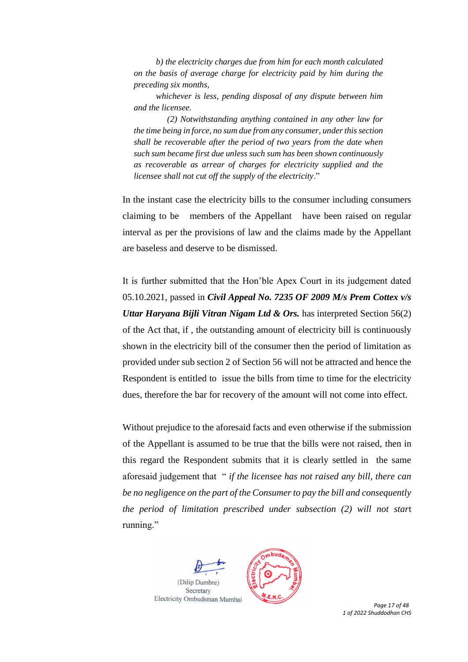*b) the electricity charges due from him for each month calculated on the basis of average charge for electricity paid by him during the preceding six months,* 

*whichever is less, pending disposal of any dispute between him and the licensee.* 

*(2) Notwithstanding anything contained in any other law for the time being in force, no sum due from any consumer, under this section shall be recoverable after the period of two years from the date when such sum became first due unless such sum has been shown continuously as recoverable as arrear of charges for electricity supplied and the licensee shall not cut off the supply of the electricity*."

In the instant case the electricity bills to the consumer including consumers claiming to be members of the Appellant have been raised on regular interval as per the provisions of law and the claims made by the Appellant are baseless and deserve to be dismissed.

It is further submitted that the Hon'ble Apex Court in its judgement dated 05.10.2021, passed in *Civil Appeal No. 7235 OF 2009 M/s Prem Cottex v/s Uttar Haryana Bijli Vitran Nigam Ltd & Ors.* has interpreted Section 56(2) of the Act that, if , the outstanding amount of electricity bill is continuously shown in the electricity bill of the consumer then the period of limitation as provided under sub section 2 of Section 56 will not be attracted and hence the Respondent is entitled to issue the bills from time to time for the electricity dues, therefore the bar for recovery of the amount will not come into effect.

Without prejudice to the aforesaid facts and even otherwise if the submission of the Appellant is assumed to be true that the bills were not raised, then in this regard the Respondent submits that it is clearly settled in the same aforesaid judgement that " *if the licensee has not raised any bill, there can be no negligence on the part of the Consumer to pay the bill and consequently the period of limitation prescribed under subsection (2) will not star*t running."





 *Page 17 of 48 1 of 2022 Shuddodhan CHS*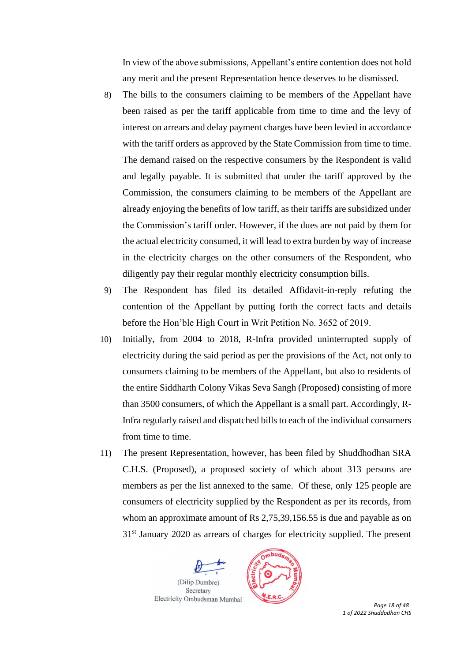In view of the above submissions, Appellant's entire contention does not hold any merit and the present Representation hence deserves to be dismissed.

- 8) The bills to the consumers claiming to be members of the Appellant have been raised as per the tariff applicable from time to time and the levy of interest on arrears and delay payment charges have been levied in accordance with the tariff orders as approved by the State Commission from time to time. The demand raised on the respective consumers by the Respondent is valid and legally payable. It is submitted that under the tariff approved by the Commission, the consumers claiming to be members of the Appellant are already enjoying the benefits of low tariff, as their tariffs are subsidized under the Commission's tariff order. However, if the dues are not paid by them for the actual electricity consumed, it will lead to extra burden by way of increase in the electricity charges on the other consumers of the Respondent, who diligently pay their regular monthly electricity consumption bills.
- 9) The Respondent has filed its detailed Affidavit-in-reply refuting the contention of the Appellant by putting forth the correct facts and details before the Hon'ble High Court in Writ Petition No. 3652 of 2019.
- 10) Initially, from 2004 to 2018, R-Infra provided uninterrupted supply of electricity during the said period as per the provisions of the Act, not only to consumers claiming to be members of the Appellant, but also to residents of the entire Siddharth Colony Vikas Seva Sangh (Proposed) consisting of more than 3500 consumers, of which the Appellant is a small part. Accordingly, R-Infra regularly raised and dispatched bills to each of the individual consumers from time to time.
- 11) The present Representation, however, has been filed by Shuddhodhan SRA C.H.S. (Proposed), a proposed society of which about 313 persons are members as per the list annexed to the same. Of these, only 125 people are consumers of electricity supplied by the Respondent as per its records, from whom an approximate amount of Rs 2,75,39,156.55 is due and payable as on 31<sup>st</sup> January 2020 as arrears of charges for electricity supplied. The present





 *Page 18 of 48 1 of 2022 Shuddodhan CHS*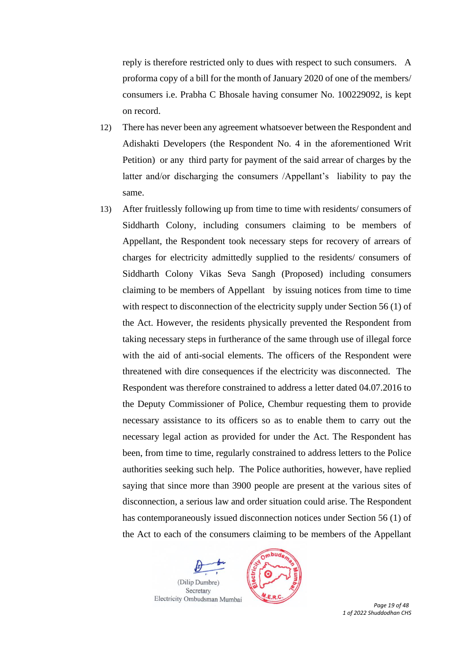reply is therefore restricted only to dues with respect to such consumers. A proforma copy of a bill for the month of January 2020 of one of the members/ consumers i.e. Prabha C Bhosale having consumer No. 100229092, is kept on record.

- 12) There has never been any agreement whatsoever between the Respondent and Adishakti Developers (the Respondent No. 4 in the aforementioned Writ Petition) or any third party for payment of the said arrear of charges by the latter and/or discharging the consumers /Appellant's liability to pay the same.
- 13) After fruitlessly following up from time to time with residents/ consumers of Siddharth Colony, including consumers claiming to be members of Appellant, the Respondent took necessary steps for recovery of arrears of charges for electricity admittedly supplied to the residents/ consumers of Siddharth Colony Vikas Seva Sangh (Proposed) including consumers claiming to be members of Appellant by issuing notices from time to time with respect to disconnection of the electricity supply under Section 56 (1) of the Act. However, the residents physically prevented the Respondent from taking necessary steps in furtherance of the same through use of illegal force with the aid of anti-social elements. The officers of the Respondent were threatened with dire consequences if the electricity was disconnected. The Respondent was therefore constrained to address a letter dated 04.07.2016 to the Deputy Commissioner of Police, Chembur requesting them to provide necessary assistance to its officers so as to enable them to carry out the necessary legal action as provided for under the Act. The Respondent has been, from time to time, regularly constrained to address letters to the Police authorities seeking such help. The Police authorities, however, have replied saying that since more than 3900 people are present at the various sites of disconnection, a serious law and order situation could arise. The Respondent has contemporaneously issued disconnection notices under Section 56 (1) of the Act to each of the consumers claiming to be members of the Appellant





 *Page 19 of 48 1 of 2022 Shuddodhan CHS*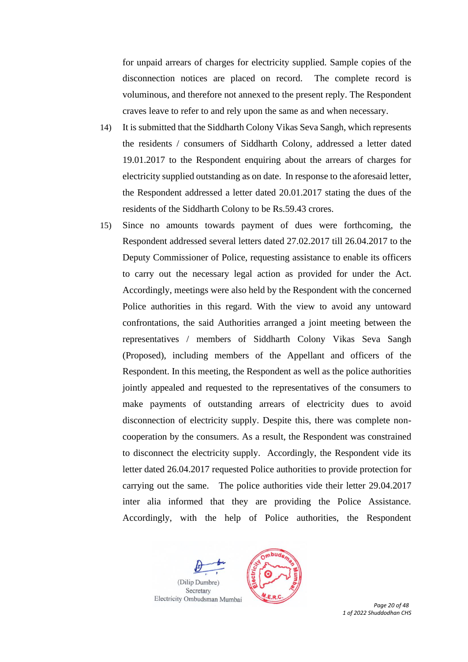for unpaid arrears of charges for electricity supplied. Sample copies of the disconnection notices are placed on record. The complete record is voluminous, and therefore not annexed to the present reply. The Respondent craves leave to refer to and rely upon the same as and when necessary.

- 14) It is submitted that the Siddharth Colony Vikas Seva Sangh, which represents the residents / consumers of Siddharth Colony, addressed a letter dated 19.01.2017 to the Respondent enquiring about the arrears of charges for electricity supplied outstanding as on date. In response to the aforesaid letter, the Respondent addressed a letter dated 20.01.2017 stating the dues of the residents of the Siddharth Colony to be Rs.59.43 crores.
- 15) Since no amounts towards payment of dues were forthcoming, the Respondent addressed several letters dated 27.02.2017 till 26.04.2017 to the Deputy Commissioner of Police, requesting assistance to enable its officers to carry out the necessary legal action as provided for under the Act. Accordingly, meetings were also held by the Respondent with the concerned Police authorities in this regard. With the view to avoid any untoward confrontations, the said Authorities arranged a joint meeting between the representatives / members of Siddharth Colony Vikas Seva Sangh (Proposed), including members of the Appellant and officers of the Respondent. In this meeting, the Respondent as well as the police authorities jointly appealed and requested to the representatives of the consumers to make payments of outstanding arrears of electricity dues to avoid disconnection of electricity supply. Despite this, there was complete noncooperation by the consumers. As a result, the Respondent was constrained to disconnect the electricity supply. Accordingly, the Respondent vide its letter dated 26.04.2017 requested Police authorities to provide protection for carrying out the same. The police authorities vide their letter 29.04.2017 inter alia informed that they are providing the Police Assistance. Accordingly, with the help of Police authorities, the Respondent





 *Page 20 of 48 1 of 2022 Shuddodhan CHS*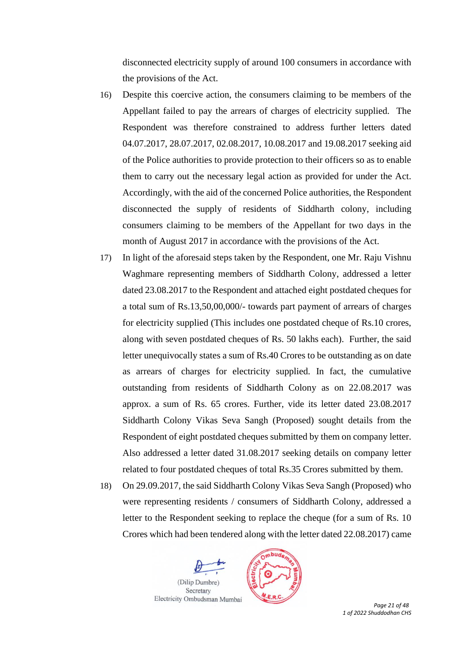disconnected electricity supply of around 100 consumers in accordance with the provisions of the Act.

- 16) Despite this coercive action, the consumers claiming to be members of the Appellant failed to pay the arrears of charges of electricity supplied. The Respondent was therefore constrained to address further letters dated 04.07.2017, 28.07.2017, 02.08.2017, 10.08.2017 and 19.08.2017 seeking aid of the Police authorities to provide protection to their officers so as to enable them to carry out the necessary legal action as provided for under the Act. Accordingly, with the aid of the concerned Police authorities, the Respondent disconnected the supply of residents of Siddharth colony, including consumers claiming to be members of the Appellant for two days in the month of August 2017 in accordance with the provisions of the Act.
- 17) In light of the aforesaid steps taken by the Respondent, one Mr. Raju Vishnu Waghmare representing members of Siddharth Colony, addressed a letter dated 23.08.2017 to the Respondent and attached eight postdated cheques for a total sum of Rs.13,50,00,000/- towards part payment of arrears of charges for electricity supplied (This includes one postdated cheque of Rs.10 crores, along with seven postdated cheques of Rs. 50 lakhs each). Further, the said letter unequivocally states a sum of Rs.40 Crores to be outstanding as on date as arrears of charges for electricity supplied. In fact, the cumulative outstanding from residents of Siddharth Colony as on 22.08.2017 was approx. a sum of Rs. 65 crores. Further, vide its letter dated 23.08.2017 Siddharth Colony Vikas Seva Sangh (Proposed) sought details from the Respondent of eight postdated cheques submitted by them on company letter. Also addressed a letter dated 31.08.2017 seeking details on company letter related to four postdated cheques of total Rs.35 Crores submitted by them.
- 18) On 29.09.2017, the said Siddharth Colony Vikas Seva Sangh (Proposed) who were representing residents / consumers of Siddharth Colony, addressed a letter to the Respondent seeking to replace the cheque (for a sum of Rs. 10 Crores which had been tendered along with the letter dated 22.08.2017) came





 *Page 21 of 48 1 of 2022 Shuddodhan CHS*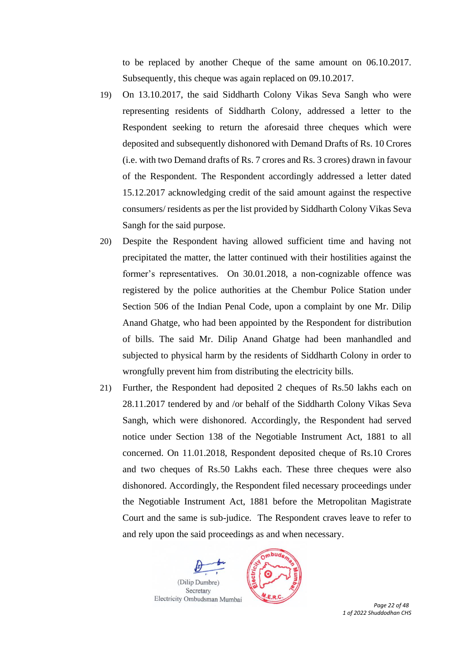to be replaced by another Cheque of the same amount on 06.10.2017. Subsequently, this cheque was again replaced on 09.10.2017.

- 19) On 13.10.2017, the said Siddharth Colony Vikas Seva Sangh who were representing residents of Siddharth Colony, addressed a letter to the Respondent seeking to return the aforesaid three cheques which were deposited and subsequently dishonored with Demand Drafts of Rs. 10 Crores (i.e. with two Demand drafts of Rs. 7 crores and Rs. 3 crores) drawn in favour of the Respondent. The Respondent accordingly addressed a letter dated 15.12.2017 acknowledging credit of the said amount against the respective consumers/ residents as per the list provided by Siddharth Colony Vikas Seva Sangh for the said purpose.
- 20) Despite the Respondent having allowed sufficient time and having not precipitated the matter, the latter continued with their hostilities against the former's representatives. On 30.01.2018, a non-cognizable offence was registered by the police authorities at the Chembur Police Station under Section 506 of the Indian Penal Code, upon a complaint by one Mr. Dilip Anand Ghatge, who had been appointed by the Respondent for distribution of bills. The said Mr. Dilip Anand Ghatge had been manhandled and subjected to physical harm by the residents of Siddharth Colony in order to wrongfully prevent him from distributing the electricity bills.
- 21) Further, the Respondent had deposited 2 cheques of Rs.50 lakhs each on 28.11.2017 tendered by and /or behalf of the Siddharth Colony Vikas Seva Sangh, which were dishonored. Accordingly, the Respondent had served notice under Section 138 of the Negotiable Instrument Act, 1881 to all concerned. On 11.01.2018, Respondent deposited cheque of Rs.10 Crores and two cheques of Rs.50 Lakhs each. These three cheques were also dishonored. Accordingly, the Respondent filed necessary proceedings under the Negotiable Instrument Act, 1881 before the Metropolitan Magistrate Court and the same is sub-judice. The Respondent craves leave to refer to and rely upon the said proceedings as and when necessary.





 *Page 22 of 48 1 of 2022 Shuddodhan CHS*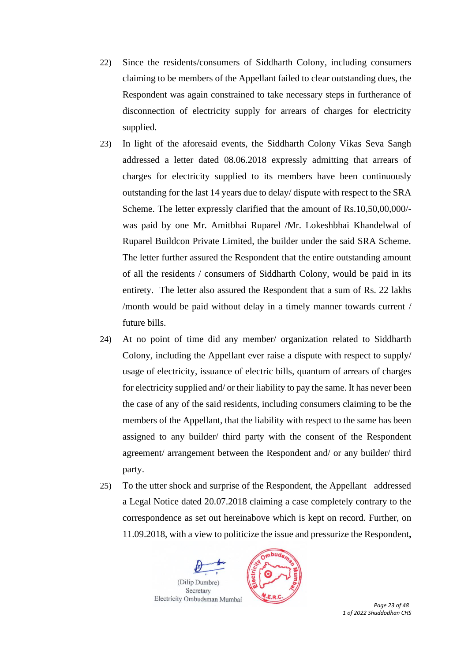- 22) Since the residents/consumers of Siddharth Colony, including consumers claiming to be members of the Appellant failed to clear outstanding dues, the Respondent was again constrained to take necessary steps in furtherance of disconnection of electricity supply for arrears of charges for electricity supplied.
- 23) In light of the aforesaid events, the Siddharth Colony Vikas Seva Sangh addressed a letter dated 08.06.2018 expressly admitting that arrears of charges for electricity supplied to its members have been continuously outstanding for the last 14 years due to delay/ dispute with respect to the SRA Scheme. The letter expressly clarified that the amount of Rs.10,50,00,000/ was paid by one Mr. Amitbhai Ruparel /Mr. Lokeshbhai Khandelwal of Ruparel Buildcon Private Limited, the builder under the said SRA Scheme. The letter further assured the Respondent that the entire outstanding amount of all the residents / consumers of Siddharth Colony, would be paid in its entirety. The letter also assured the Respondent that a sum of Rs. 22 lakhs /month would be paid without delay in a timely manner towards current / future bills.
- 24) At no point of time did any member/ organization related to Siddharth Colony, including the Appellant ever raise a dispute with respect to supply/ usage of electricity, issuance of electric bills, quantum of arrears of charges for electricity supplied and/ or their liability to pay the same. It has never been the case of any of the said residents, including consumers claiming to be the members of the Appellant, that the liability with respect to the same has been assigned to any builder/ third party with the consent of the Respondent agreement/ arrangement between the Respondent and/ or any builder/ third party.
- 25) To the utter shock and surprise of the Respondent, the Appellant addressed a Legal Notice dated 20.07.2018 claiming a case completely contrary to the correspondence as set out hereinabove which is kept on record. Further, on 11.09.2018, with a view to politicize the issue and pressurize the Respondent**,**





 *Page 23 of 48 1 of 2022 Shuddodhan CHS*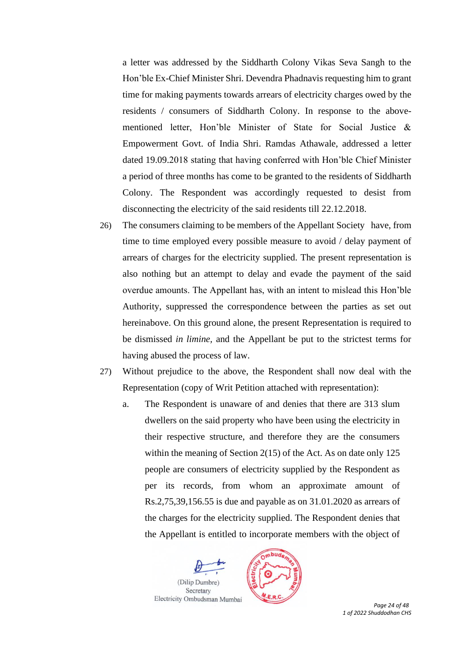a letter was addressed by the Siddharth Colony Vikas Seva Sangh to the Hon'ble Ex-Chief Minister Shri. Devendra Phadnavis requesting him to grant time for making payments towards arrears of electricity charges owed by the residents / consumers of Siddharth Colony. In response to the abovementioned letter, Hon'ble Minister of State for Social Justice & Empowerment Govt. of India Shri. Ramdas Athawale, addressed a letter dated 19.09.2018 stating that having conferred with Hon'ble Chief Minister a period of three months has come to be granted to the residents of Siddharth Colony. The Respondent was accordingly requested to desist from disconnecting the electricity of the said residents till 22.12.2018.

- 26) The consumers claiming to be members of the Appellant Society have, from time to time employed every possible measure to avoid / delay payment of arrears of charges for the electricity supplied. The present representation is also nothing but an attempt to delay and evade the payment of the said overdue amounts. The Appellant has, with an intent to mislead this Hon'ble Authority, suppressed the correspondence between the parties as set out hereinabove. On this ground alone, the present Representation is required to be dismissed *in limine,* and the Appellant be put to the strictest terms for having abused the process of law.
- 27) Without prejudice to the above, the Respondent shall now deal with the Representation (copy of Writ Petition attached with representation):
	- a. The Respondent is unaware of and denies that there are 313 slum dwellers on the said property who have been using the electricity in their respective structure, and therefore they are the consumers within the meaning of Section 2(15) of the Act. As on date only 125 people are consumers of electricity supplied by the Respondent as per its records, from whom an approximate amount of Rs.2,75,39,156.55 is due and payable as on 31.01.2020 as arrears of the charges for the electricity supplied. The Respondent denies that the Appellant is entitled to incorporate members with the object of





 *Page 24 of 48 1 of 2022 Shuddodhan CHS*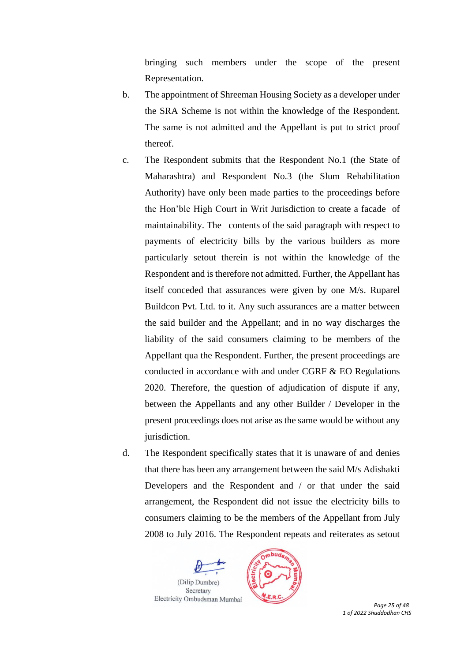bringing such members under the scope of the present Representation.

- b. The appointment of Shreeman Housing Society as a developer under the SRA Scheme is not within the knowledge of the Respondent. The same is not admitted and the Appellant is put to strict proof thereof.
- c. The Respondent submits that the Respondent No.1 (the State of Maharashtra) and Respondent No.3 (the Slum Rehabilitation Authority) have only been made parties to the proceedings before the Hon'ble High Court in Writ Jurisdiction to create a facade of maintainability. The contents of the said paragraph with respect to payments of electricity bills by the various builders as more particularly setout therein is not within the knowledge of the Respondent and is therefore not admitted. Further, the Appellant has itself conceded that assurances were given by one M/s. Ruparel Buildcon Pvt. Ltd. to it. Any such assurances are a matter between the said builder and the Appellant; and in no way discharges the liability of the said consumers claiming to be members of the Appellant qua the Respondent. Further, the present proceedings are conducted in accordance with and under CGRF  $&$  EO Regulations 2020. Therefore, the question of adjudication of dispute if any, between the Appellants and any other Builder / Developer in the present proceedings does not arise as the same would be without any jurisdiction.
- d. The Respondent specifically states that it is unaware of and denies that there has been any arrangement between the said M/s Adishakti Developers and the Respondent and / or that under the said arrangement, the Respondent did not issue the electricity bills to consumers claiming to be the members of the Appellant from July 2008 to July 2016. The Respondent repeats and reiterates as setout





 *Page 25 of 48 1 of 2022 Shuddodhan CHS*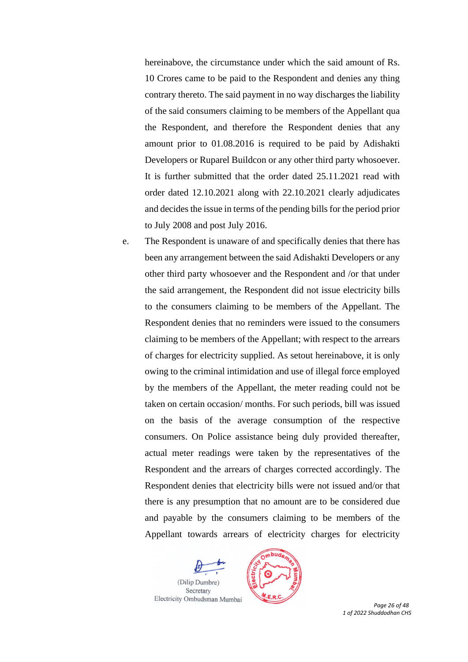hereinabove, the circumstance under which the said amount of Rs. 10 Crores came to be paid to the Respondent and denies any thing contrary thereto. The said payment in no way discharges the liability of the said consumers claiming to be members of the Appellant qua the Respondent, and therefore the Respondent denies that any amount prior to 01.08.2016 is required to be paid by Adishakti Developers or Ruparel Buildcon or any other third party whosoever. It is further submitted that the order dated 25.11.2021 read with order dated 12.10.2021 along with 22.10.2021 clearly adjudicates and decides the issue in terms of the pending bills for the period prior to July 2008 and post July 2016.

e. The Respondent is unaware of and specifically denies that there has been any arrangement between the said Adishakti Developers or any other third party whosoever and the Respondent and /or that under the said arrangement, the Respondent did not issue electricity bills to the consumers claiming to be members of the Appellant. The Respondent denies that no reminders were issued to the consumers claiming to be members of the Appellant; with respect to the arrears of charges for electricity supplied. As setout hereinabove, it is only owing to the criminal intimidation and use of illegal force employed by the members of the Appellant, the meter reading could not be taken on certain occasion/ months. For such periods, bill was issued on the basis of the average consumption of the respective consumers. On Police assistance being duly provided thereafter, actual meter readings were taken by the representatives of the Respondent and the arrears of charges corrected accordingly. The Respondent denies that electricity bills were not issued and/or that there is any presumption that no amount are to be considered due and payable by the consumers claiming to be members of the Appellant towards arrears of electricity charges for electricity





 *Page 26 of 48 1 of 2022 Shuddodhan CHS*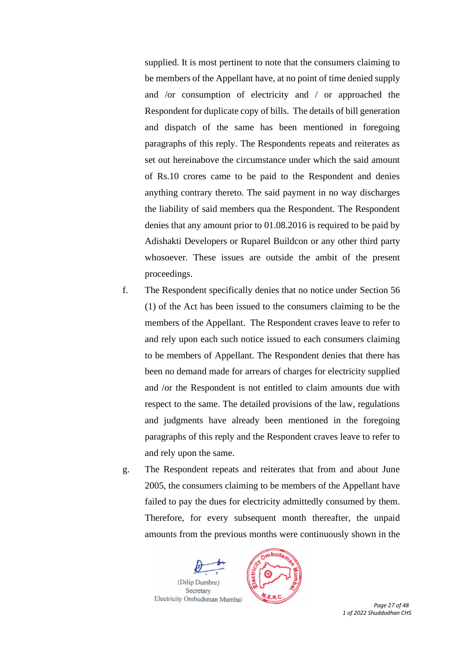supplied. It is most pertinent to note that the consumers claiming to be members of the Appellant have, at no point of time denied supply and /or consumption of electricity and / or approached the Respondent for duplicate copy of bills. The details of bill generation and dispatch of the same has been mentioned in foregoing paragraphs of this reply. The Respondents repeats and reiterates as set out hereinabove the circumstance under which the said amount of Rs.10 crores came to be paid to the Respondent and denies anything contrary thereto. The said payment in no way discharges the liability of said members qua the Respondent. The Respondent denies that any amount prior to 01.08.2016 is required to be paid by Adishakti Developers or Ruparel Buildcon or any other third party whosoever*.* These issues are outside the ambit of the present proceedings.

- f. The Respondent specifically denies that no notice under Section 56 (1) of the Act has been issued to the consumers claiming to be the members of the Appellant. The Respondent craves leave to refer to and rely upon each such notice issued to each consumers claiming to be members of Appellant. The Respondent denies that there has been no demand made for arrears of charges for electricity supplied and /or the Respondent is not entitled to claim amounts due with respect to the same. The detailed provisions of the law, regulations and judgments have already been mentioned in the foregoing paragraphs of this reply and the Respondent craves leave to refer to and rely upon the same.
- g. The Respondent repeats and reiterates that from and about June 2005, the consumers claiming to be members of the Appellant have failed to pay the dues for electricity admittedly consumed by them. Therefore, for every subsequent month thereafter, the unpaid amounts from the previous months were continuously shown in the





 *Page 27 of 48 1 of 2022 Shuddodhan CHS*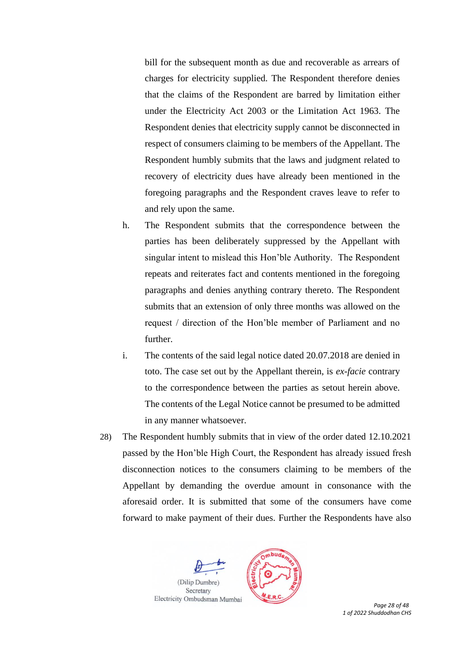bill for the subsequent month as due and recoverable as arrears of charges for electricity supplied. The Respondent therefore denies that the claims of the Respondent are barred by limitation either under the Electricity Act 2003 or the Limitation Act 1963. The Respondent denies that electricity supply cannot be disconnected in respect of consumers claiming to be members of the Appellant. The Respondent humbly submits that the laws and judgment related to recovery of electricity dues have already been mentioned in the foregoing paragraphs and the Respondent craves leave to refer to and rely upon the same.

- h. The Respondent submits that the correspondence between the parties has been deliberately suppressed by the Appellant with singular intent to mislead this Hon'ble Authority. The Respondent repeats and reiterates fact and contents mentioned in the foregoing paragraphs and denies anything contrary thereto. The Respondent submits that an extension of only three months was allowed on the request / direction of the Hon'ble member of Parliament and no further.
- i. The contents of the said legal notice dated 20.07.2018 are denied in toto. The case set out by the Appellant therein, is *ex-facie* contrary to the correspondence between the parties as setout herein above. The contents of the Legal Notice cannot be presumed to be admitted in any manner whatsoever.
- 28) The Respondent humbly submits that in view of the order dated 12.10.2021 passed by the Hon'ble High Court, the Respondent has already issued fresh disconnection notices to the consumers claiming to be members of the Appellant by demanding the overdue amount in consonance with the aforesaid order. It is submitted that some of the consumers have come forward to make payment of their dues. Further the Respondents have also





 *Page 28 of 48 1 of 2022 Shuddodhan CHS*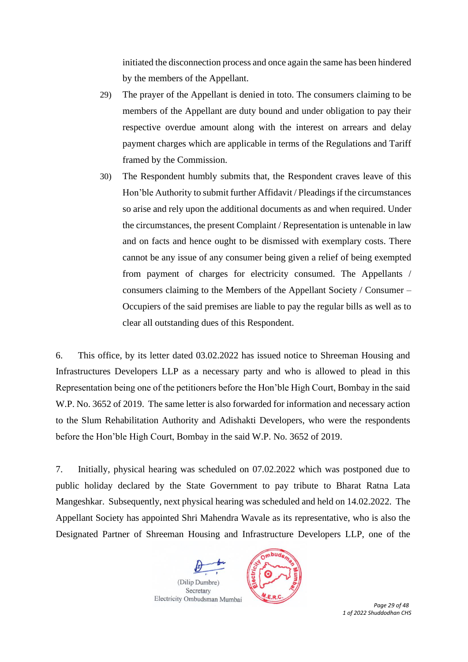initiated the disconnection process and once again the same has been hindered by the members of the Appellant.

- 29) The prayer of the Appellant is denied in toto. The consumers claiming to be members of the Appellant are duty bound and under obligation to pay their respective overdue amount along with the interest on arrears and delay payment charges which are applicable in terms of the Regulations and Tariff framed by the Commission.
- 30) The Respondent humbly submits that, the Respondent craves leave of this Hon'ble Authority to submit further Affidavit / Pleadings if the circumstances so arise and rely upon the additional documents as and when required. Under the circumstances, the present Complaint / Representation is untenable in law and on facts and hence ought to be dismissed with exemplary costs. There cannot be any issue of any consumer being given a relief of being exempted from payment of charges for electricity consumed. The Appellants / consumers claiming to the Members of the Appellant Society / Consumer – Occupiers of the said premises are liable to pay the regular bills as well as to clear all outstanding dues of this Respondent.

6. This office, by its letter dated 03.02.2022 has issued notice to Shreeman Housing and Infrastructures Developers LLP as a necessary party and who is allowed to plead in this Representation being one of the petitioners before the Hon'ble High Court, Bombay in the said W.P. No. 3652 of 2019. The same letter is also forwarded for information and necessary action to the Slum Rehabilitation Authority and Adishakti Developers, who were the respondents before the Hon'ble High Court, Bombay in the said W.P. No. 3652 of 2019.

7. Initially, physical hearing was scheduled on 07.02.2022 which was postponed due to public holiday declared by the State Government to pay tribute to Bharat Ratna Lata Mangeshkar. Subsequently, next physical hearing was scheduled and held on 14.02.2022. The Appellant Society has appointed Shri Mahendra Wavale as its representative, who is also the Designated Partner of Shreeman Housing and Infrastructure Developers LLP, one of the





 *Page 29 of 48 1 of 2022 Shuddodhan CHS*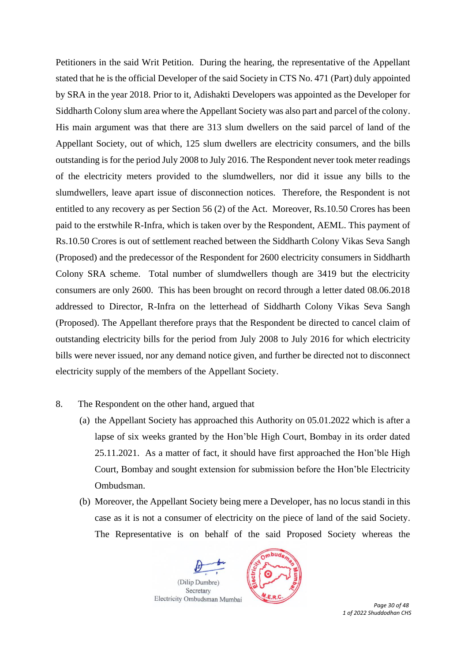Petitioners in the said Writ Petition. During the hearing, the representative of the Appellant stated that he is the official Developer of the said Society in CTS No. 471 (Part) duly appointed by SRA in the year 2018. Prior to it, Adishakti Developers was appointed as the Developer for Siddharth Colony slum area where the Appellant Society was also part and parcel of the colony. His main argument was that there are 313 slum dwellers on the said parcel of land of the Appellant Society, out of which, 125 slum dwellers are electricity consumers, and the bills outstanding is for the period July 2008 to July 2016. The Respondent never took meter readings of the electricity meters provided to the slumdwellers, nor did it issue any bills to the slumdwellers, leave apart issue of disconnection notices. Therefore, the Respondent is not entitled to any recovery as per Section 56 (2) of the Act. Moreover, Rs.10.50 Crores has been paid to the erstwhile R-Infra, which is taken over by the Respondent, AEML. This payment of Rs.10.50 Crores is out of settlement reached between the Siddharth Colony Vikas Seva Sangh (Proposed) and the predecessor of the Respondent for 2600 electricity consumers in Siddharth Colony SRA scheme. Total number of slumdwellers though are 3419 but the electricity consumers are only 2600. This has been brought on record through a letter dated 08.06.2018 addressed to Director, R-Infra on the letterhead of Siddharth Colony Vikas Seva Sangh (Proposed). The Appellant therefore prays that the Respondent be directed to cancel claim of outstanding electricity bills for the period from July 2008 to July 2016 for which electricity bills were never issued, nor any demand notice given, and further be directed not to disconnect electricity supply of the members of the Appellant Society.

### 8. The Respondent on the other hand, argued that

- (a) the Appellant Society has approached this Authority on 05.01.2022 which is after a lapse of six weeks granted by the Hon'ble High Court, Bombay in its order dated 25.11.2021. As a matter of fact, it should have first approached the Hon'ble High Court, Bombay and sought extension for submission before the Hon'ble Electricity Ombudsman.
- (b) Moreover, the Appellant Society being mere a Developer, has no locus standi in this case as it is not a consumer of electricity on the piece of land of the said Society. The Representative is on behalf of the said Proposed Society whereas the





 *Page 30 of 48 1 of 2022 Shuddodhan CHS*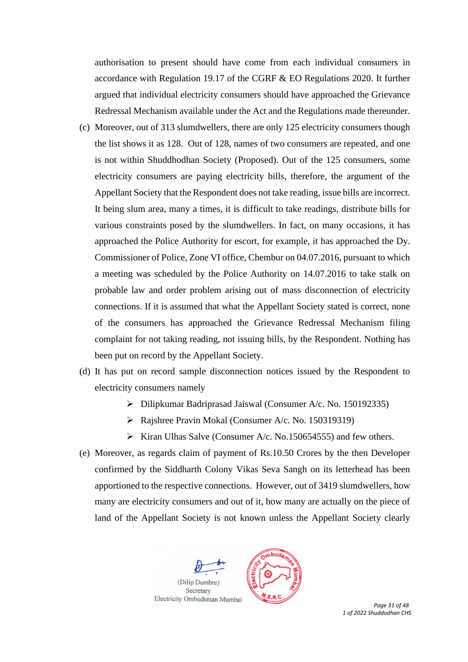authorisation to present should have come from each individual consumers in accordance with Regulation 19.17 of the CGRF & EO Regulations 2020. It further argued that individual electricity consumers should have approached the Grievance Redressal Mechanism available under the Act and the Regulations made thereunder.

- (c) Moreover, out of 313 slumdwellers, there are only 125 electricity consumers though the list shows it as 128. Out of 128, names of two consumers are repeated, and one is not within Shuddhodhan Society (Proposed). Out of the 125 consumers, some electricity consumers are paying electricity bills, therefore, the argument of the Appellant Society that the Respondent does not take reading, issue bills are incorrect. It being slum area, many a times, it is difficult to take readings, distribute bills for various constraints posed by the slumdwellers. In fact, on many occasions, it has approached the Police Authority for escort, for example, it has approached the Dy. Commissioner of Police, Zone VI office, Chembur on 04.07.2016, pursuant to which a meeting was scheduled by the Police Authority on 14.07.2016 to take stalk on probable law and order problem arising out of mass disconnection of electricity connections. If it is assumed that what the Appellant Society stated is correct, none of the consumers has approached the Grievance Redressal Mechanism filing complaint for not taking reading, not issuing bills, by the Respondent. Nothing has been put on record by the Appellant Society.
- (d) It has put on record sample disconnection notices issued by the Respondent to electricity consumers namely
	- ➢ Dilipkumar Badriprasad Jaiswal (Consumer A/c. No. 150192335)
	- ➢ Rajshree Pravin Mokal (Consumer A/c. No. 150319319)
	- $\triangleright$  Kiran Ulhas Salve (Consumer A/c. No.150654555) and few others.
- (e) Moreover, as regards claim of payment of Rs.10.50 Crores by the then Developer confirmed by the Siddharth Colony Vikas Seva Sangh on its letterhead has been apportioned to the respective connections. However, out of 3419 slumdwellers, how many are electricity consumers and out of it, how many are actually on the piece of land of the Appellant Society is not known unless the Appellant Society clearly





 *Page 31 of 48 1 of 2022 Shuddodhan CHS*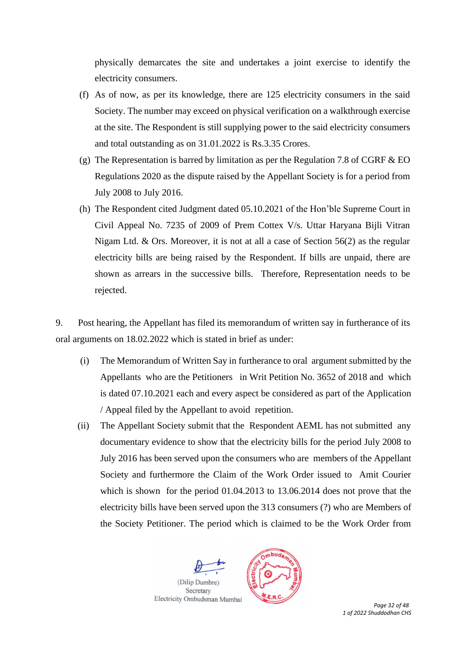physically demarcates the site and undertakes a joint exercise to identify the electricity consumers.

- (f) As of now, as per its knowledge, there are 125 electricity consumers in the said Society. The number may exceed on physical verification on a walkthrough exercise at the site. The Respondent is still supplying power to the said electricity consumers and total outstanding as on 31.01.2022 is Rs.3.35 Crores.
- (g) The Representation is barred by limitation as per the Regulation 7.8 of CGRF  $&$  EO Regulations 2020 as the dispute raised by the Appellant Society is for a period from July 2008 to July 2016.
- (h) The Respondent cited Judgment dated 05.10.2021 of the Hon'ble Supreme Court in Civil Appeal No. 7235 of 2009 of Prem Cottex V/s. Uttar Haryana Bijli Vitran Nigam Ltd. & Ors. Moreover, it is not at all a case of Section 56(2) as the regular electricity bills are being raised by the Respondent. If bills are unpaid, there are shown as arrears in the successive bills. Therefore, Representation needs to be rejected.

9. Post hearing, the Appellant has filed its memorandum of written say in furtherance of its oral arguments on 18.02.2022 which is stated in brief as under:

- (i) The Memorandum of Written Say in furtherance to oral argument submitted by the Appellants who are the Petitioners in Writ Petition No. 3652 of 2018 and which is dated 07.10.2021 each and every aspect be considered as part of the Application / Appeal filed by the Appellant to avoid repetition.
- (ii) The Appellant Society submit that the Respondent AEML has not submitted any documentary evidence to show that the electricity bills for the period July 2008 to July 2016 has been served upon the consumers who are members of the Appellant Society and furthermore the Claim of the Work Order issued to Amit Courier which is shown for the period 01.04.2013 to 13.06.2014 does not prove that the electricity bills have been served upon the 313 consumers (?) who are Members of the Society Petitioner. The period which is claimed to be the Work Order from





 *Page 32 of 48 1 of 2022 Shuddodhan CHS*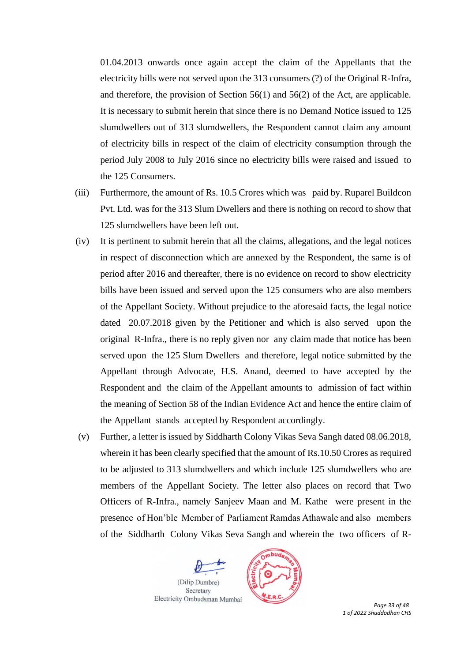01.04.2013 onwards once again accept the claim of the Appellants that the electricity bills were not served upon the 313 consumers (?) of the Original R-Infra, and therefore, the provision of Section 56(1) and 56(2) of the Act, are applicable. It is necessary to submit herein that since there is no Demand Notice issued to 125 slumdwellers out of 313 slumdwellers, the Respondent cannot claim any amount of electricity bills in respect of the claim of electricity consumption through the period July 2008 to July 2016 since no electricity bills were raised and issued to the 125 Consumers.

- (iii) Furthermore, the amount of Rs. 10.5 Crores which was paid by. Ruparel Buildcon Pvt. Ltd. was for the 313 Slum Dwellers and there is nothing on record to show that 125 slumdwellers have been left out.
- (iv) It is pertinent to submit herein that all the claims, allegations, and the legal notices in respect of disconnection which are annexed by the Respondent, the same is of period after 2016 and thereafter, there is no evidence on record to show electricity bills have been issued and served upon the 125 consumers who are also members of the Appellant Society. Without prejudice to the aforesaid facts, the legal notice dated 20.07.2018 given by the Petitioner and which is also served upon the original R-Infra., there is no reply given nor any claim made that notice has been served upon the 125 Slum Dwellers and therefore, legal notice submitted by the Appellant through Advocate, H.S. Anand, deemed to have accepted by the Respondent and the claim of the Appellant amounts to admission of fact within the meaning of Section 58 of the Indian Evidence Act and hence the entire claim of the Appellant stands accepted by Respondent accordingly.
- (v) Further, a letter is issued by Siddharth Colony Vikas Seva Sangh dated 08.06.2018, wherein it has been clearly specified that the amount of Rs.10.50 Crores as required to be adjusted to 313 slumdwellers and which include 125 slumdwellers who are members of the Appellant Society. The letter also places on record that Two Officers of R-Infra., namely Sanjeev Maan and M. Kathe were present in the presence of Hon'ble Member of Parliament Ramdas Athawale and also members of the Siddharth Colony Vikas Seva Sangh and wherein the two officers of R-





 *Page 33 of 48 1 of 2022 Shuddodhan CHS*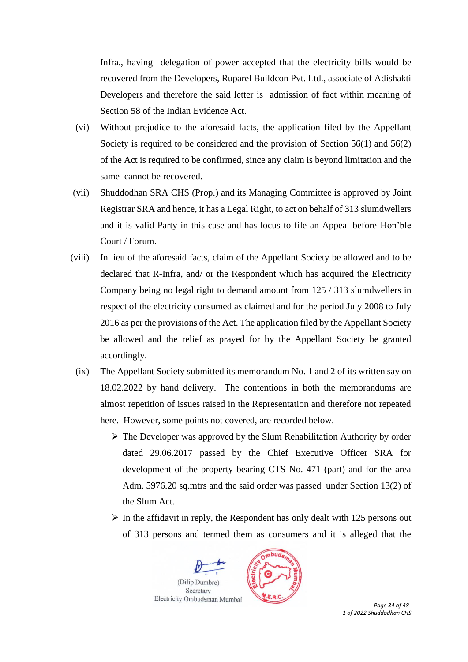Infra., having delegation of power accepted that the electricity bills would be recovered from the Developers, Ruparel Buildcon Pvt. Ltd., associate of Adishakti Developers and therefore the said letter is admission of fact within meaning of Section 58 of the Indian Evidence Act.

- (vi) Without prejudice to the aforesaid facts, the application filed by the Appellant Society is required to be considered and the provision of Section 56(1) and 56(2) of the Act is required to be confirmed, since any claim is beyond limitation and the same cannot be recovered.
- (vii) Shuddodhan SRA CHS (Prop.) and its Managing Committee is approved by Joint Registrar SRA and hence, it has a Legal Right, to act on behalf of 313 slumdwellers and it is valid Party in this case and has locus to file an Appeal before Hon'ble Court / Forum.
- (viii) In lieu of the aforesaid facts, claim of the Appellant Society be allowed and to be declared that R-Infra, and/ or the Respondent which has acquired the Electricity Company being no legal right to demand amount from 125 / 313 slumdwellers in respect of the electricity consumed as claimed and for the period July 2008 to July 2016 as per the provisions of the Act. The application filed by the Appellant Society be allowed and the relief as prayed for by the Appellant Society be granted accordingly.
	- (ix) The Appellant Society submitted its memorandum No. 1 and 2 of its written say on 18.02.2022 by hand delivery. The contentions in both the memorandums are almost repetition of issues raised in the Representation and therefore not repeated here. However, some points not covered, are recorded below.
		- ➢ The Developer was approved by the Slum Rehabilitation Authority by order dated 29.06.2017 passed by the Chief Executive Officer SRA for development of the property bearing CTS No. 471 (part) and for the area Adm. 5976.20 sq.mtrs and the said order was passed under Section 13(2) of the Slum Act.
		- $\triangleright$  In the affidavit in reply, the Respondent has only dealt with 125 persons out of 313 persons and termed them as consumers and it is alleged that the





 *Page 34 of 48 1 of 2022 Shuddodhan CHS*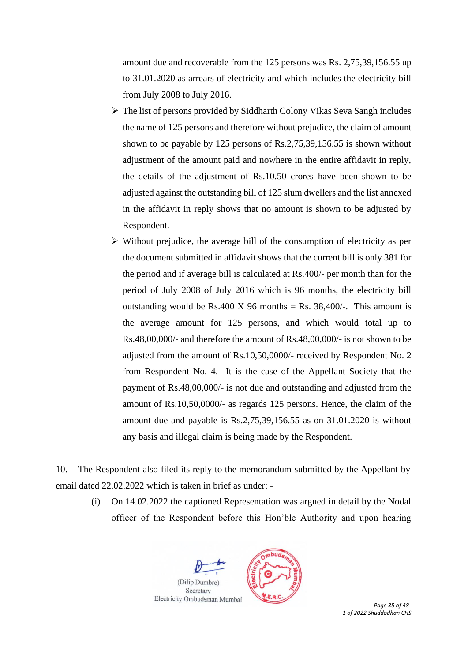amount due and recoverable from the 125 persons was Rs. 2,75,39,156.55 up to 31.01.2020 as arrears of electricity and which includes the electricity bill from July 2008 to July 2016.

- ➢ The list of persons provided by Siddharth Colony Vikas Seva Sangh includes the name of 125 persons and therefore without prejudice, the claim of amount shown to be payable by 125 persons of Rs.2,75,39,156.55 is shown without adjustment of the amount paid and nowhere in the entire affidavit in reply, the details of the adjustment of Rs.10.50 crores have been shown to be adjusted against the outstanding bill of 125 slum dwellers and the list annexed in the affidavit in reply shows that no amount is shown to be adjusted by Respondent.
- ➢ Without prejudice, the average bill of the consumption of electricity as per the document submitted in affidavit shows that the current bill is only 381 for the period and if average bill is calculated at Rs.400/- per month than for the period of July 2008 of July 2016 which is 96 months, the electricity bill outstanding would be Rs.400 X 96 months = Rs.  $38,400/$ -. This amount is the average amount for 125 persons, and which would total up to Rs.48,00,000/- and therefore the amount of Rs.48,00,000/- is not shown to be adjusted from the amount of Rs.10,50,0000/- received by Respondent No. 2 from Respondent No. 4. It is the case of the Appellant Society that the payment of Rs.48,00,000/- is not due and outstanding and adjusted from the amount of Rs.10,50,0000/- as regards 125 persons. Hence, the claim of the amount due and payable is Rs.2,75,39,156.55 as on 31.01.2020 is without any basis and illegal claim is being made by the Respondent.

10. The Respondent also filed its reply to the memorandum submitted by the Appellant by email dated 22.02.2022 which is taken in brief as under: -

(i) On 14.02.2022 the captioned Representation was argued in detail by the Nodal officer of the Respondent before this Hon'ble Authority and upon hearing





 *Page 35 of 48 1 of 2022 Shuddodhan CHS*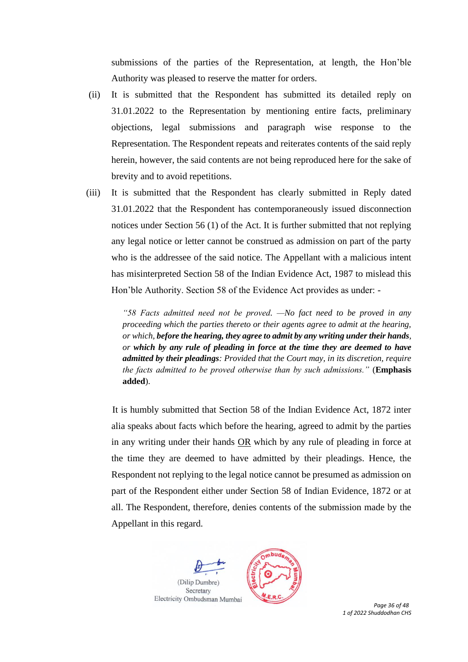submissions of the parties of the Representation, at length, the Hon'ble Authority was pleased to reserve the matter for orders.

- (ii) It is submitted that the Respondent has submitted its detailed reply on 31.01.2022 to the Representation by mentioning entire facts, preliminary objections, legal submissions and paragraph wise response to the Representation. The Respondent repeats and reiterates contents of the said reply herein, however, the said contents are not being reproduced here for the sake of brevity and to avoid repetitions.
- (iii) It is submitted that the Respondent has clearly submitted in Reply dated 31.01.2022 that the Respondent has contemporaneously issued disconnection notices under Section 56 (1) of the Act. It is further submitted that not replying any legal notice or letter cannot be construed as admission on part of the party who is the addressee of the said notice. The Appellant with a malicious intent has misinterpreted Section 58 of the Indian Evidence Act, 1987 to mislead this Hon'ble Authority. Section 58 of the Evidence Act provides as under: -

*"58 Facts admitted need not be proved. —No fact need to be proved in any proceeding which the parties thereto or their agents agree to admit at the hearing, or which, before the hearing, they agree to admit by any writing under their hands, or which by any rule of pleading in force at the time they are deemed to have admitted by their pleadings: Provided that the Court may, in its discretion, require the facts admitted to be proved otherwise than by such admissions."* (**Emphasis added**).

It is humbly submitted that Section 58 of the Indian Evidence Act, 1872 inter alia speaks about facts which before the hearing, agreed to admit by the parties in any writing under their hands OR which by any rule of pleading in force at the time they are deemed to have admitted by their pleadings. Hence, the Respondent not replying to the legal notice cannot be presumed as admission on part of the Respondent either under Section 58 of Indian Evidence, 1872 or at all. The Respondent, therefore, denies contents of the submission made by the Appellant in this regard.





 *Page 36 of 48 1 of 2022 Shuddodhan CHS*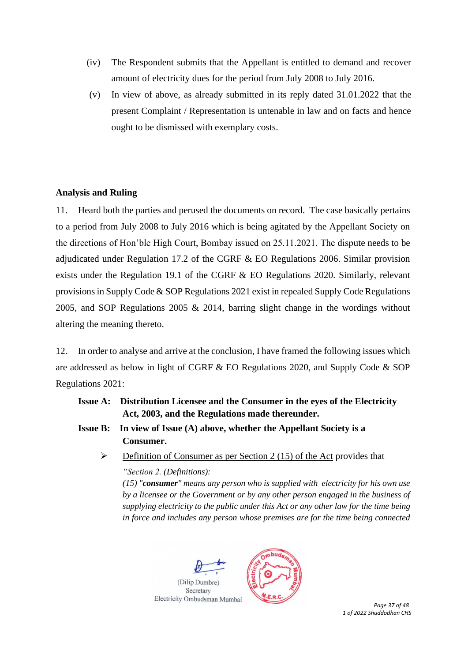- (iv) The Respondent submits that the Appellant is entitled to demand and recover amount of electricity dues for the period from July 2008 to July 2016.
- (v) In view of above, as already submitted in its reply dated 31.01.2022 that the present Complaint / Representation is untenable in law and on facts and hence ought to be dismissed with exemplary costs.

## **Analysis and Ruling**

11. Heard both the parties and perused the documents on record. The case basically pertains to a period from July 2008 to July 2016 which is being agitated by the Appellant Society on the directions of Hon'ble High Court, Bombay issued on 25.11.2021. The dispute needs to be adjudicated under Regulation 17.2 of the CGRF & EO Regulations 2006. Similar provision exists under the Regulation 19.1 of the CGRF & EO Regulations 2020. Similarly, relevant provisions in Supply Code & SOP Regulations 2021 exist in repealed Supply Code Regulations 2005, and SOP Regulations 2005 & 2014, barring slight change in the wordings without altering the meaning thereto.

12. In order to analyse and arrive at the conclusion, I have framed the following issues which are addressed as below in light of CGRF & EO Regulations 2020, and Supply Code & SOP Regulations 2021:

# **Issue A: Distribution Licensee and the Consumer in the eyes of the Electricity Act, 2003, and the Regulations made thereunder.**

- **Issue B: In view of Issue (A) above, whether the Appellant Society is a Consumer.** 
	- $\triangleright$  Definition of Consumer as per Section 2 (15) of the Act provides that *"Section 2. (Definitions):*

*(15) "consumer" means any person who is supplied with electricity for his own use by a licensee or the Government or by any other person engaged in the business of supplying electricity to the public under this Act or any other law for the time being in force and includes any person whose premises are for the time being connected* 





 *Page 37 of 48 1 of 2022 Shuddodhan CHS*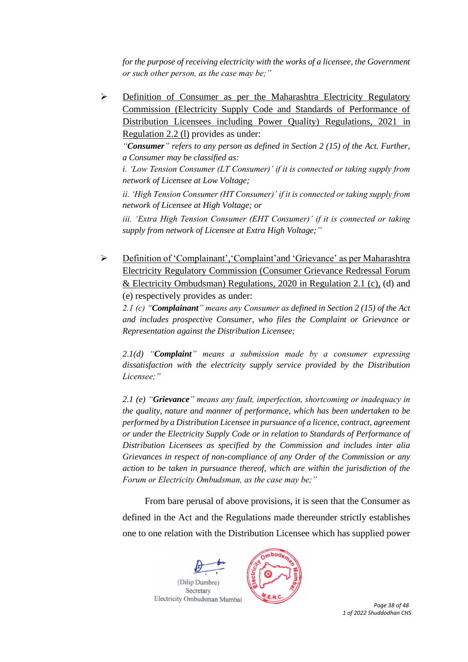*for the purpose of receiving electricity with the works of a licensee, the Government or such other person, as the case may be;"* 

➢ Definition of Consumer as per the Maharashtra Electricity Regulatory Commission (Electricity Supply Code and Standards of Performance of Distribution Licensees including Power Quality) Regulations, 2021 in Regulation 2.2 (l) provides as under:

*"Consumer" refers to any person as defined in Section 2 (15) of the Act. Further, a Consumer may be classified as:* 

*i. 'Low Tension Consumer (LT Consumer)' if it is connected or taking supply from network of Licensee at Low Voltage;* 

*ii. 'High Tension Consumer (HT Consumer)' if it is connected or taking supply from network of Licensee at High Voltage; or* 

*iii. 'Extra High Tension Consumer (EHT Consumer)' if it is connected or taking supply from network of Licensee at Extra High Voltage;"*

➢ Definition of 'Complainant','Complaint'and 'Grievance' as per Maharashtra Electricity Regulatory Commission (Consumer Grievance Redressal Forum & Electricity Ombudsman) Regulations, 2020 in Regulation 2.1 (c), (d) and (e) respectively provides as under:

*2.1 (c) "Complainant" means any Consumer as defined in Section 2 (15) of the Act and includes prospective Consumer, who files the Complaint or Grievance or Representation against the Distribution Licensee;*

*2.1(d) "Complaint" means a submission made by a consumer expressing dissatisfaction with the electricity supply service provided by the Distribution Licensee;"*

*2.1 (e) "Grievance" means any fault, imperfection, shortcoming or inadequacy in the quality, nature and manner of performance, which has been undertaken to be performed by a Distribution Licensee in pursuance of a licence, contract, agreement or under the Electricity Supply Code or in relation to Standards of Performance of Distribution Licensees as specified by the Commission and includes inter alia Grievances in respect of non-compliance of any Order of the Commission or any action to be taken in pursuance thereof, which are within the jurisdiction of the Forum or Electricity Ombudsman, as the case may be;"*

From bare perusal of above provisions, it is seen that the Consumer as defined in the Act and the Regulations made thereunder strictly establishes one to one relation with the Distribution Licensee which has supplied power





 *Page 38 of 48 1 of 2022 Shuddodhan CHS*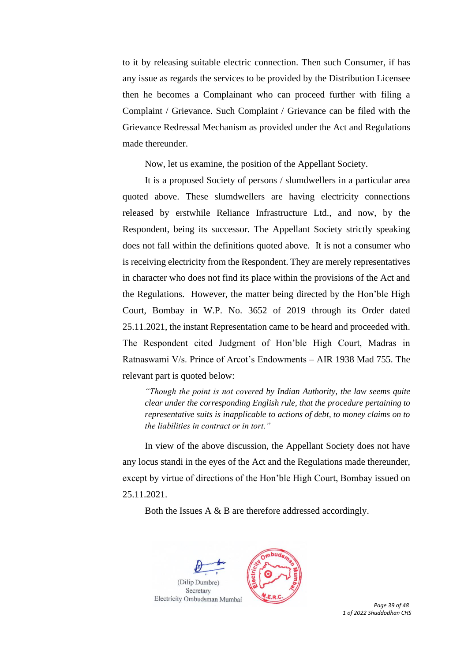to it by releasing suitable electric connection. Then such Consumer, if has any issue as regards the services to be provided by the Distribution Licensee then he becomes a Complainant who can proceed further with filing a Complaint / Grievance. Such Complaint / Grievance can be filed with the Grievance Redressal Mechanism as provided under the Act and Regulations made thereunder.

Now, let us examine, the position of the Appellant Society.

It is a proposed Society of persons / slumdwellers in a particular area quoted above. These slumdwellers are having electricity connections released by erstwhile Reliance Infrastructure Ltd., and now, by the Respondent, being its successor. The Appellant Society strictly speaking does not fall within the definitions quoted above. It is not a consumer who is receiving electricity from the Respondent. They are merely representatives in character who does not find its place within the provisions of the Act and the Regulations. However, the matter being directed by the Hon'ble High Court, Bombay in W.P. No. 3652 of 2019 through its Order dated 25.11.2021, the instant Representation came to be heard and proceeded with. The Respondent cited Judgment of Hon'ble High Court, Madras in Ratnaswami V/s. Prince of Arcot's Endowments – AIR 1938 Mad 755. The relevant part is quoted below:

*"Though the point is not covered by Indian Authority, the law seems quite clear under the corresponding English rule, that the procedure pertaining to representative suits is inapplicable to actions of debt, to money claims on to the liabilities in contract or in tort."*

In view of the above discussion, the Appellant Society does not have any locus standi in the eyes of the Act and the Regulations made thereunder, except by virtue of directions of the Hon'ble High Court, Bombay issued on 25.11.2021.

Both the Issues A & B are therefore addressed accordingly.





 *Page 39 of 48 1 of 2022 Shuddodhan CHS*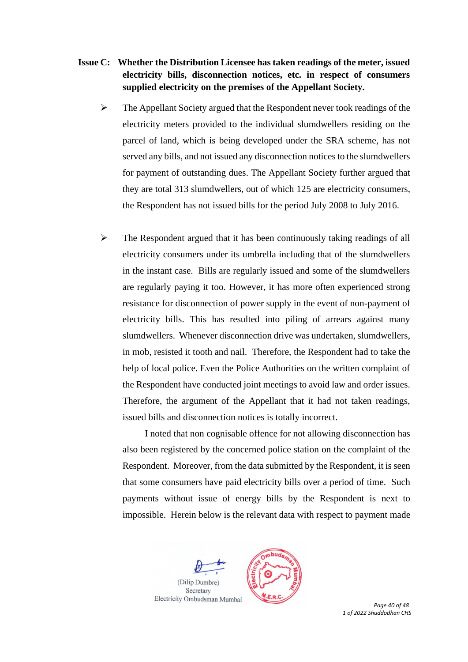# **Issue C: Whether the Distribution Licensee has taken readings of the meter, issued electricity bills, disconnection notices, etc. in respect of consumers supplied electricity on the premises of the Appellant Society.**

- $\triangleright$  The Appellant Society argued that the Respondent never took readings of the electricity meters provided to the individual slumdwellers residing on the parcel of land, which is being developed under the SRA scheme, has not served any bills, and not issued any disconnection notices to the slumdwellers for payment of outstanding dues. The Appellant Society further argued that they are total 313 slumdwellers, out of which 125 are electricity consumers, the Respondent has not issued bills for the period July 2008 to July 2016.
- $\triangleright$  The Respondent argued that it has been continuously taking readings of all electricity consumers under its umbrella including that of the slumdwellers in the instant case. Bills are regularly issued and some of the slumdwellers are regularly paying it too. However, it has more often experienced strong resistance for disconnection of power supply in the event of non-payment of electricity bills. This has resulted into piling of arrears against many slumdwellers. Whenever disconnection drive was undertaken, slumdwellers, in mob, resisted it tooth and nail. Therefore, the Respondent had to take the help of local police. Even the Police Authorities on the written complaint of the Respondent have conducted joint meetings to avoid law and order issues. Therefore, the argument of the Appellant that it had not taken readings, issued bills and disconnection notices is totally incorrect.

I noted that non cognisable offence for not allowing disconnection has also been registered by the concerned police station on the complaint of the Respondent. Moreover, from the data submitted by the Respondent, it is seen that some consumers have paid electricity bills over a period of time. Such payments without issue of energy bills by the Respondent is next to impossible. Herein below is the relevant data with respect to payment made





 *Page 40 of 48 1 of 2022 Shuddodhan CHS*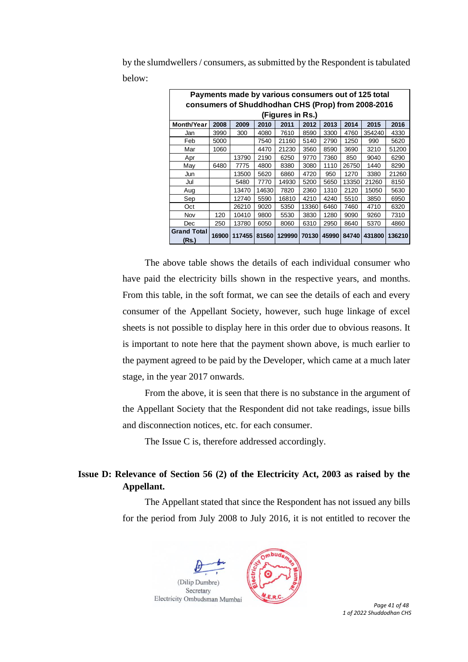| Payments made by various consumers out of 125 total                                       |       |        |       |        |       |       |       |        |        |  |  |
|-------------------------------------------------------------------------------------------|-------|--------|-------|--------|-------|-------|-------|--------|--------|--|--|
| consumers of Shuddhodhan CHS (Prop) from 2008-2016                                        |       |        |       |        |       |       |       |        |        |  |  |
| (Figures in Rs.)                                                                          |       |        |       |        |       |       |       |        |        |  |  |
| <b>Month/Year</b><br>2008<br>2009<br>2011<br>2013<br>2015<br>2016<br>2010<br>2012<br>2014 |       |        |       |        |       |       |       |        |        |  |  |
| Jan                                                                                       | 3990  | 300    | 4080  | 7610   | 8590  | 3300  | 4760  | 354240 | 4330   |  |  |
| Feb                                                                                       | 5000  |        | 7540  | 21160  | 5140  | 2790  | 1250  | 990    | 5620   |  |  |
| Mar                                                                                       | 1060  |        | 4470  | 21230  | 3560  | 8590  | 3690  | 3210   | 51200  |  |  |
| Apr                                                                                       |       | 13790  | 2190  | 6250   | 9770  | 7360  | 850   | 9040   | 6290   |  |  |
| May                                                                                       | 6480  | 7775   | 4800  | 8380   | 3080  | 1110  | 26750 | 1440   | 8290   |  |  |
| Jun                                                                                       |       | 13500  | 5620  | 6860   | 4720  | 950   | 1270  | 3380   | 21260  |  |  |
| Jul                                                                                       |       | 5480   | 7770  | 14930  | 5200  | 5650  | 13350 | 21260  | 8150   |  |  |
| Aug                                                                                       |       | 13470  | 14630 | 7820   | 2360  | 1310  | 2120  | 15050  | 5630   |  |  |
| Sep                                                                                       |       | 12740  | 5590  | 16810  | 4210  | 4240  | 5510  | 3850   | 6950   |  |  |
| Oct                                                                                       |       | 26210  | 9020  | 5350   | 13360 | 6460  | 7460  | 4710   | 6320   |  |  |
| Nov                                                                                       | 120   | 10410  | 9800  | 5530   | 3830  | 1280  | 9090  | 9260   | 7310   |  |  |
| Dec                                                                                       | 250   | 13780  | 6050  | 8060   | 6310  | 2950  | 8640  | 5370   | 4860   |  |  |
| <b>Grand Total</b><br>(Rs.)                                                               | 16900 | 117455 | 81560 | 129990 | 70130 | 45990 | 84740 | 431800 | 136210 |  |  |

by the slumdwellers / consumers, as submitted by the Respondent is tabulated below:

The above table shows the details of each individual consumer who have paid the electricity bills shown in the respective years, and months. From this table, in the soft format, we can see the details of each and every consumer of the Appellant Society, however, such huge linkage of excel sheets is not possible to display here in this order due to obvious reasons. It is important to note here that the payment shown above, is much earlier to the payment agreed to be paid by the Developer, which came at a much later stage, in the year 2017 onwards.

From the above, it is seen that there is no substance in the argument of the Appellant Society that the Respondent did not take readings, issue bills and disconnection notices, etc. for each consumer.

The Issue C is, therefore addressed accordingly.

# **Issue D: Relevance of Section 56 (2) of the Electricity Act, 2003 as raised by the Appellant.**

The Appellant stated that since the Respondent has not issued any bills for the period from July 2008 to July 2016, it is not entitled to recover the





 *Page 41 of 48 1 of 2022 Shuddodhan CHS*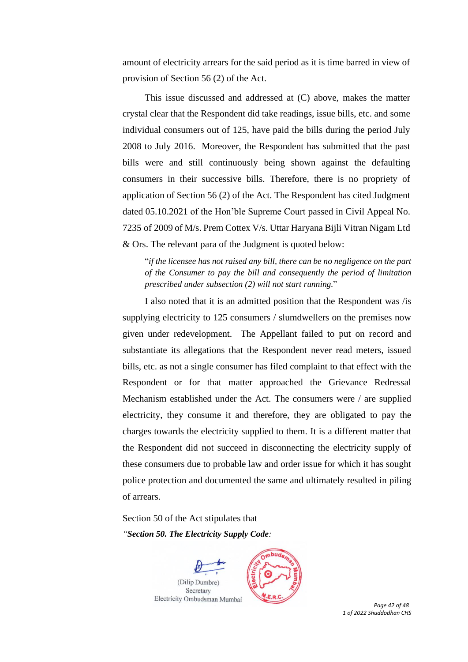amount of electricity arrears for the said period as it is time barred in view of provision of Section 56 (2) of the Act.

This issue discussed and addressed at (C) above, makes the matter crystal clear that the Respondent did take readings, issue bills, etc. and some individual consumers out of 125, have paid the bills during the period July 2008 to July 2016. Moreover, the Respondent has submitted that the past bills were and still continuously being shown against the defaulting consumers in their successive bills. Therefore, there is no propriety of application of Section 56 (2) of the Act. The Respondent has cited Judgment dated 05.10.2021 of the Hon'ble Supreme Court passed in Civil Appeal No. 7235 of 2009 of M/s. Prem Cottex V/s. Uttar Haryana Bijli Vitran Nigam Ltd & Ors. The relevant para of the Judgment is quoted below:

"*if the licensee has not raised any bill, there can be no negligence on the part of the Consumer to pay the bill and consequently the period of limitation prescribed under subsection (2) will not start running.*"

I also noted that it is an admitted position that the Respondent was /is supplying electricity to 125 consumers / slumdwellers on the premises now given under redevelopment. The Appellant failed to put on record and substantiate its allegations that the Respondent never read meters, issued bills, etc. as not a single consumer has filed complaint to that effect with the Respondent or for that matter approached the Grievance Redressal Mechanism established under the Act. The consumers were / are supplied electricity, they consume it and therefore, they are obligated to pay the charges towards the electricity supplied to them. It is a different matter that the Respondent did not succeed in disconnecting the electricity supply of these consumers due to probable law and order issue for which it has sought police protection and documented the same and ultimately resulted in piling of arrears.

Section 50 of the Act stipulates that *"Section 50. The Electricity Supply Code:* 

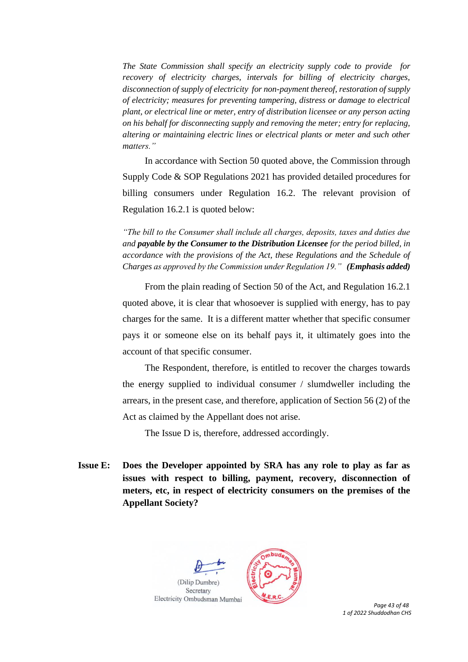*The State Commission shall specify an electricity supply code to provide for recovery of electricity charges, intervals for billing of electricity charges, disconnection of supply of electricity for non-payment thereof, restoration of supply of electricity; measures for preventing tampering, distress or damage to electrical plant, or electrical line or meter, entry of distribution licensee or any person acting on his behalf for disconnecting supply and removing the meter; entry for replacing, altering or maintaining electric lines or electrical plants or meter and such other matters."*

In accordance with Section 50 quoted above, the Commission through Supply Code & SOP Regulations 2021 has provided detailed procedures for billing consumers under Regulation 16.2. The relevant provision of Regulation 16.2.1 is quoted below:

*"The bill to the Consumer shall include all charges, deposits, taxes and duties due and payable by the Consumer to the Distribution Licensee for the period billed, in accordance with the provisions of the Act, these Regulations and the Schedule of Charges as approved by the Commission under Regulation 19." (Emphasis added)*

From the plain reading of Section 50 of the Act, and Regulation 16.2.1 quoted above, it is clear that whosoever is supplied with energy, has to pay charges for the same. It is a different matter whether that specific consumer pays it or someone else on its behalf pays it, it ultimately goes into the account of that specific consumer.

The Respondent, therefore, is entitled to recover the charges towards the energy supplied to individual consumer / slumdweller including the arrears, in the present case, and therefore, application of Section 56 (2) of the Act as claimed by the Appellant does not arise.

The Issue D is, therefore, addressed accordingly.

**Issue E: Does the Developer appointed by SRA has any role to play as far as issues with respect to billing, payment, recovery, disconnection of meters, etc, in respect of electricity consumers on the premises of the Appellant Society?** 



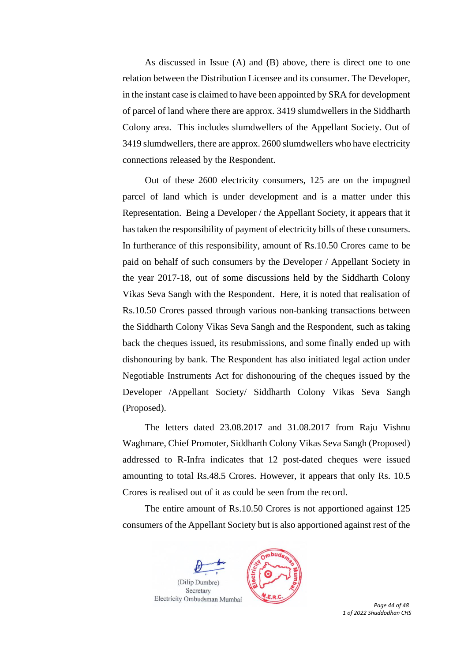As discussed in Issue (A) and (B) above, there is direct one to one relation between the Distribution Licensee and its consumer. The Developer, in the instant case is claimed to have been appointed by SRA for development of parcel of land where there are approx. 3419 slumdwellers in the Siddharth Colony area. This includes slumdwellers of the Appellant Society. Out of 3419 slumdwellers, there are approx. 2600 slumdwellers who have electricity connections released by the Respondent.

Out of these 2600 electricity consumers, 125 are on the impugned parcel of land which is under development and is a matter under this Representation. Being a Developer / the Appellant Society, it appears that it has taken the responsibility of payment of electricity bills of these consumers. In furtherance of this responsibility, amount of Rs.10.50 Crores came to be paid on behalf of such consumers by the Developer / Appellant Society in the year 2017-18, out of some discussions held by the Siddharth Colony Vikas Seva Sangh with the Respondent. Here, it is noted that realisation of Rs.10.50 Crores passed through various non-banking transactions between the Siddharth Colony Vikas Seva Sangh and the Respondent, such as taking back the cheques issued, its resubmissions, and some finally ended up with dishonouring by bank. The Respondent has also initiated legal action under Negotiable Instruments Act for dishonouring of the cheques issued by the Developer /Appellant Society/ Siddharth Colony Vikas Seva Sangh (Proposed).

The letters dated 23.08.2017 and 31.08.2017 from Raju Vishnu Waghmare, Chief Promoter, Siddharth Colony Vikas Seva Sangh (Proposed) addressed to R-Infra indicates that 12 post-dated cheques were issued amounting to total Rs.48.5 Crores. However, it appears that only Rs. 10.5 Crores is realised out of it as could be seen from the record.

The entire amount of Rs.10.50 Crores is not apportioned against 125 consumers of the Appellant Society but is also apportioned against rest of the





 *Page 44 of 48 1 of 2022 Shuddodhan CHS*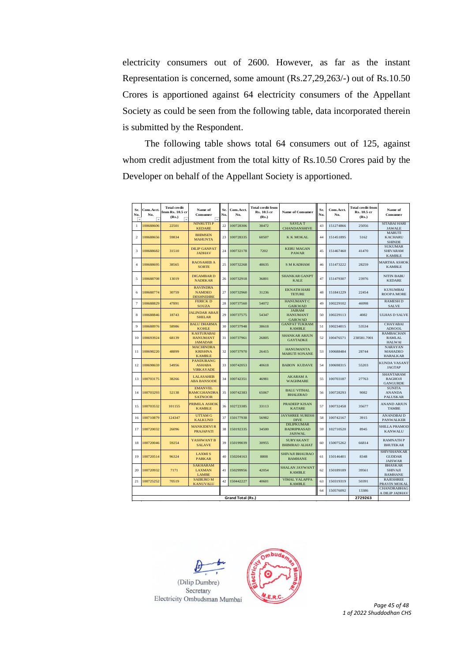electricity consumers out of 2600. However, as far as the instant Representation is concerned, some amount (Rs.27,29,263/-) out of Rs.10.50 Crores is apportioned against 64 electricity consumers of the Appellant Society as could be seen from the following table, data incorporated therein is submitted by the Respondent.

The following table shows total 64 consumers out of 125, against whom credit adjustment from the total kitty of Rs.10.50 Crores paid by the Developer on behalf of the Appellant Society is apportioned.

| Sr.<br>No.<br>$\overline{\phantom{a}}$ | Cons.Acct.<br>No.<br>÷ | <b>Total credit</b><br>from Rs. 10.5 cr<br>(Rs.) | Name of<br>Consumer                                    | Sr.<br>No. | Cons.Acct.<br>No. | <b>Total credit from</b><br>Rs. 10.5 cr<br>(Rs.) | Name of Consumer                                          | Sr.<br>No. | Cons.Acct.<br>No. | <b>Total credit from</b><br>Rs. 10.5 cr<br>(Rs.) | Name of<br>Consumer                                   |
|----------------------------------------|------------------------|--------------------------------------------------|--------------------------------------------------------|------------|-------------------|--------------------------------------------------|-----------------------------------------------------------|------------|-------------------|--------------------------------------------------|-------------------------------------------------------|
| $\mathbf{1}$                           | 100688606              | 22501                                            | <b>NINRUTTI P</b><br><b>KEDARE</b>                     | 22         | 100728306         | 38472                                            | <b>SAVLAT</b><br>CHANDANSHIVE                             | 43         | 151274866         | 25056                                            | SITABAI HARI<br><b>JAWALE</b>                         |
| 2                                      | 100688656              | 59834                                            | <b>BHIMSEN</b><br><b>MAHUNTA</b>                       | 23         | 100728335         | 60507                                            | K K MOKAL                                                 | 44         | 151451895         | 5162                                             | <b>MARUTI</b><br><b>KACHARU</b><br><b>SHINDE</b>      |
| 3                                      | 100688682              | 31510                                            | <b>DILIP GANPAT</b><br><b>JADHAV</b>                   | 24         | 100732178         | 7202                                             | <b>KERU MAGAN</b><br><b>PAWAR</b>                         | 45         | 151467460         | 41470                                            | <b>SUKUMAR</b><br><b>SHIVARAM</b><br><b>KAMBLE</b>    |
| $\overline{4}$                         | 100688695              | 38565                                            | <b>RAOSAHEB A</b><br><b>SORTE</b>                      | 25         | 100732268         | 48635                                            | <b>S M KADHAM</b>                                         | 46         | 151473222         | 28259                                            | <b>MARTHA ASHOK</b><br><b>KAMBLE</b>                  |
| 5                                      | 100688708              | 13019                                            | <b>DIGAMBARD</b><br><b>NADEKAR</b>                     | 26         | 100732918         | 36801                                            | <b>SHANKAR GANPT</b><br><b>KALE</b>                       | 47         | 151479307         | 23976                                            | <b>NITIN BABU</b><br><b>KEDARE</b>                    |
| 6                                      | 100688774              | 30759                                            | <b>RAVINDRA</b><br><b>NAMDEO</b><br><b>DESHNEHRE</b>   | 27         | 100732960         | 31236                                            | <b>EKNATH HARI</b><br><b>TETURE</b>                       | 48         | 151841229         | 22454                                            | <b>KUSUMBAI</b><br><b>ROOPA MORE</b>                  |
| $\overline{7}$                         | 100688829              | 47891                                            | <b>FERICK D</b><br><b>SOUZA</b>                        | 28         | 100737560         | 54072                                            | <b>HANUMANT C</b><br><b>GAIKWAD</b>                       | 49         | 100229102         | 46998                                            | <b>RAMESH D</b><br><b>SALVE</b>                       |
| 8                                      | 100688846              | 18743                                            | <b>JALINDAR ABAJI</b><br><b>SHELAR</b>                 | 29         | 100737575         | 54347                                            | <b>JAIRAM</b><br><b>HANUMANT</b><br><b>GAIKWAD</b>        | 50         | 100229113         | 4082                                             | <b>ULHAS D SALVE</b>                                  |
| 9                                      | 100688976              | 58986                                            | <b>BALU DHARMA</b><br><b>KOHLE</b>                     | 30         | 100737948         | 38618                                            | <b>GANPAT TUKRAM</b><br><b>KAMBLE</b>                     | 51         | 100234015         | 53534                                            | <b>CHAYABAI</b><br><b>ADSOOL</b>                      |
| 10                                     | 100693924              | 68139                                            | <b>KASTURABAI</b><br><b>HANUMANT</b><br><b>JAMADAR</b> | 31         | 100737961         | 26805                                            | <b>SHANKAR ARJUN</b><br><b>GAYTADKE</b>                   | 52         | 100476571         | 238581.7001                                      | <b>RAMBACHAN</b><br><b>RAMLAL</b><br><b>HALWAI</b>    |
| 11                                     | 100698220              | 48899                                            | <b>MACHINDRA</b><br><b>KRISHNA</b><br><b>KAMBLE</b>    | 32         | 100737970         | 26415                                            | <b>HANUMANTA</b><br><b>MARUTI SONANE</b>                  | 53         | 100688484         | 28744                                            | <b>NARAYAN</b><br><b>MAHADEO</b><br><b>HARALKAR</b>   |
| 12                                     | 100698659              | 54956                                            | <b>PANDURANG</b><br><b>ASHABA</b><br><b>VIRKAYADE</b>  | 33         | 100742053         | 40618                                            | <b>BABON KUDAVE</b>                                       | 54         | 100698315         | 55203                                            | <b>KUNDA VASANT</b><br><b>JAGTAP</b>                  |
| 13                                     | 100703175              | 38266                                            | <b>LALASAHEB</b><br><b>ABA BANSODE</b>                 | 34         | 100742351         | 46981                                            | <b>AKARAMA</b><br><b>WAGHMARE</b>                         | 55         | 100703187         | 27763                                            | <b>SHANTARAM</b><br><b>RAGHOJI</b><br><b>GANGURDE</b> |
| 14                                     | 100703293              | 52138                                            | <b>EMANVEL</b><br><b>RAMCGHANDRA</b><br><b>SATNOOR</b> | 35         | 100742383         | 65067                                            | <b>BALU VITHAL</b><br><b>BHALERAO</b>                     | 56         | 100728293         | 9082                                             | <b>SUNITA</b><br><b>ANANDA</b><br><b>PALUSKAR</b>     |
| 15                                     | 100703532              | 101155                                           | PRIMILA ASHOK<br><b>KAMBLE</b>                         | 36         | 102723385         | 33113                                            | PRADEEP KISAN<br><b>KATARE</b>                            | 57         | 100732458         | 35677                                            | <b>ANAND ARJUN</b><br><b>TAMBE</b>                    |
| 16                                     | 100710879              | 124347                                           | <b>UTTAM G</b><br><b>KALKUND</b>                       | 37         | 150177938         | 56982                                            | <b>JAYSHREE SURESH</b><br><b>DIVE</b>                     | 58         | 100742167         | 3915                                             | <b>ANANDBAID</b><br><b>PANWALKER</b>                  |
| 17                                     | 100720032              | 26096                                            | <b>MANKIDEVI R</b><br><b>PRAJAPATI</b>                 | 38         | 150192335         | 34500                                            | <b>DILIPKUMAR</b><br><b>BADRIPRASAD</b><br><b>JAISWAL</b> | 59         | 102710520         | 8945                                             | <b>SHILLA PRAMOD</b><br><b>KANWALU</b>                |
| 18                                     | 100720046              | 59254                                            | YASHWANT B<br><b>SALAVE</b>                            | 39         | 150199039         | 30955                                            | <b>SURYAKANT</b><br><b>BHIMRAO ALHAT</b>                  | 60         | 150075262         | 66814                                            | <b>RAMNATH P</b><br><b>BHUTEKAR</b>                   |
| 19                                     | 100720514              | 96324                                            | <b>LAXMIS</b><br><b>PARKAR</b>                         | 40         | 150204163         | 8808                                             | <b>SHIVAJI BHAURAO</b><br><b>BAMHANE</b>                  | 61         | 150146401         | 8348                                             | SHIVSHANKAR<br><b>GUDDAR</b><br><b>JAISWAR</b>        |
| 20                                     | 100720932              | 7171                                             | <b>SAKHARAM</b><br><b>LAXMAN</b><br><b>LAMBE</b>       | 41         | 150299956         | 42054                                            | <b>SHALAN JAYWANT</b><br><b>KAMBLE</b>                    | 62         | 150189189         | 39561                                            | <b>BHASKAR</b><br><b>SHIVAJI</b><br><b>BAMHANE</b>    |
| 21                                     | 100725252              | 70519                                            | <b>SAIBURO M</b><br><b>KANUVALU</b>                    | 42         | 150442227         | 40601                                            | <b>VIMAL YALAPPA</b><br><b>KAMBLE</b>                     | 63         | 150319319         | 50391                                            | <b>RAJESHREE</b><br>PRAVIN MOKAL                      |
| 64<br>150576092                        |                        |                                                  |                                                        |            |                   |                                                  |                                                           |            | 13386             | CHANDRABHAG<br>A DILIP JADHAV                    |                                                       |
| 2729263<br>Grand Total (Rs.)           |                        |                                                  |                                                        |            |                   |                                                  |                                                           |            |                   |                                                  |                                                       |



*1 of 2022 Shuddodhan CHS*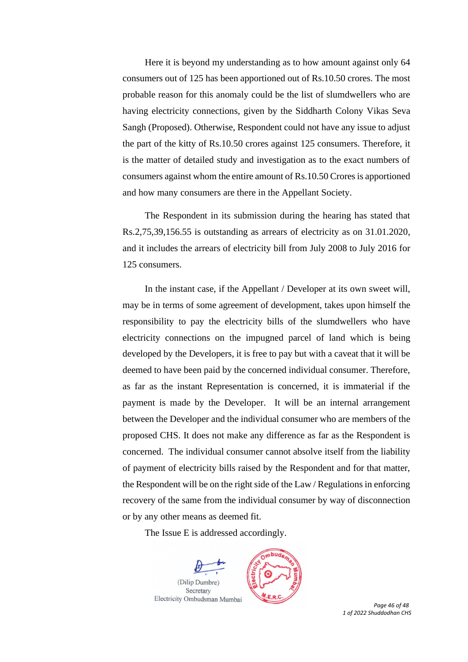Here it is beyond my understanding as to how amount against only 64 consumers out of 125 has been apportioned out of Rs.10.50 crores. The most probable reason for this anomaly could be the list of slumdwellers who are having electricity connections, given by the Siddharth Colony Vikas Seva Sangh (Proposed). Otherwise, Respondent could not have any issue to adjust the part of the kitty of Rs.10.50 crores against 125 consumers. Therefore, it is the matter of detailed study and investigation as to the exact numbers of consumers against whom the entire amount of Rs.10.50 Crores is apportioned and how many consumers are there in the Appellant Society.

The Respondent in its submission during the hearing has stated that Rs.2,75,39,156.55 is outstanding as arrears of electricity as on 31.01.2020, and it includes the arrears of electricity bill from July 2008 to July 2016 for 125 consumers.

In the instant case, if the Appellant / Developer at its own sweet will, may be in terms of some agreement of development, takes upon himself the responsibility to pay the electricity bills of the slumdwellers who have electricity connections on the impugned parcel of land which is being developed by the Developers, it is free to pay but with a caveat that it will be deemed to have been paid by the concerned individual consumer. Therefore, as far as the instant Representation is concerned, it is immaterial if the payment is made by the Developer. It will be an internal arrangement between the Developer and the individual consumer who are members of the proposed CHS. It does not make any difference as far as the Respondent is concerned. The individual consumer cannot absolve itself from the liability of payment of electricity bills raised by the Respondent and for that matter, the Respondent will be on the right side of the Law / Regulations in enforcing recovery of the same from the individual consumer by way of disconnection or by any other means as deemed fit.

The Issue E is addressed accordingly.





 *Page 46 of 48 1 of 2022 Shuddodhan CHS*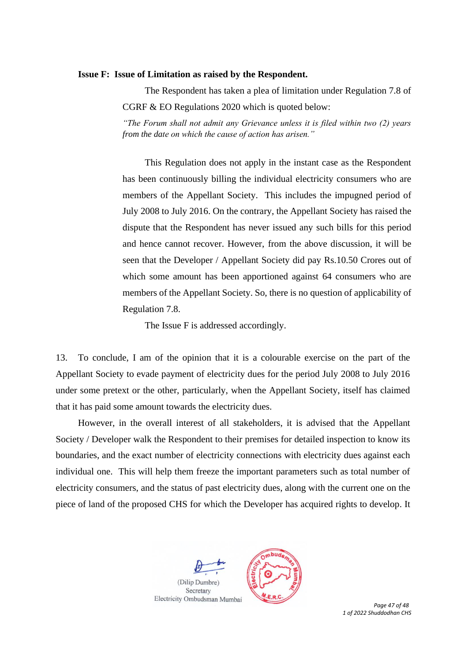#### **Issue F: Issue of Limitation as raised by the Respondent.**

The Respondent has taken a plea of limitation under Regulation 7.8 of CGRF & EO Regulations 2020 which is quoted below: *"The Forum shall not admit any Grievance unless it is filed within two (2) years from the date on which the cause of action has arisen."*

This Regulation does not apply in the instant case as the Respondent has been continuously billing the individual electricity consumers who are members of the Appellant Society. This includes the impugned period of July 2008 to July 2016. On the contrary, the Appellant Society has raised the dispute that the Respondent has never issued any such bills for this period and hence cannot recover. However, from the above discussion, it will be seen that the Developer / Appellant Society did pay Rs.10.50 Crores out of which some amount has been apportioned against 64 consumers who are members of the Appellant Society. So, there is no question of applicability of Regulation 7.8.

The Issue F is addressed accordingly.

13. To conclude, I am of the opinion that it is a colourable exercise on the part of the Appellant Society to evade payment of electricity dues for the period July 2008 to July 2016 under some pretext or the other, particularly, when the Appellant Society, itself has claimed that it has paid some amount towards the electricity dues.

However, in the overall interest of all stakeholders, it is advised that the Appellant Society / Developer walk the Respondent to their premises for detailed inspection to know its boundaries, and the exact number of electricity connections with electricity dues against each individual one. This will help them freeze the important parameters such as total number of electricity consumers, and the status of past electricity dues, along with the current one on the piece of land of the proposed CHS for which the Developer has acquired rights to develop. It





 *Page 47 of 48 1 of 2022 Shuddodhan CHS*